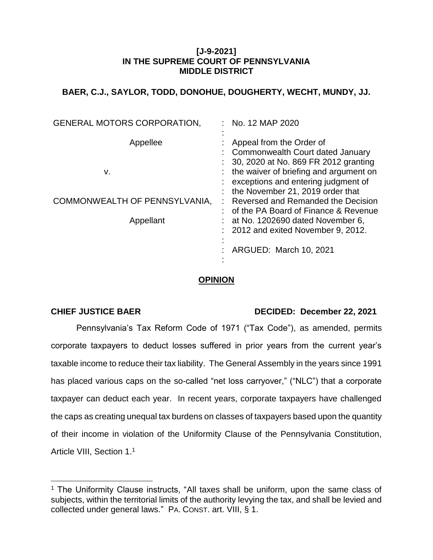#### **[J-9-2021] IN THE SUPREME COURT OF PENNSYLVANIA MIDDLE DISTRICT**

## **BAER, C.J., SAYLOR, TODD, DONOHUE, DOUGHERTY, WECHT, MUNDY, JJ.**

| <b>GENERAL MOTORS CORPORATION,</b> | : No. 12 MAP 2020                                                                                                                                                                           |
|------------------------------------|---------------------------------------------------------------------------------------------------------------------------------------------------------------------------------------------|
| Appellee<br>v.                     | Appeal from the Order of<br>: Commonwealth Court dated January<br>30, 2020 at No. 869 FR 2012 granting<br>: the waiver of briefing and argument on<br>: exceptions and entering judgment of |
| COMMONWEALTH OF PENNSYLVANIA,      | : the November 21, 2019 order that<br>Reversed and Remanded the Decision<br>: of the PA Board of Finance & Revenue                                                                          |
| Appellant                          | $:$ at No. 1202690 dated November 6,<br>$: 2012$ and exited November 9, 2012.                                                                                                               |
|                                    | ARGUED: March 10, 2021                                                                                                                                                                      |

## **OPINION**

 $\overline{a}$ 

## **CHIEF JUSTICE BAER DECIDED: December 22, 2021**

Pennsylvania's Tax Reform Code of 1971 ("Tax Code"), as amended, permits corporate taxpayers to deduct losses suffered in prior years from the current year's taxable income to reduce their tax liability. The General Assembly in the years since 1991 has placed various caps on the so-called "net loss carryover," ("NLC") that a corporate taxpayer can deduct each year. In recent years, corporate taxpayers have challenged the caps as creating unequal tax burdens on classes of taxpayers based upon the quantity of their income in violation of the Uniformity Clause of the Pennsylvania Constitution, Article VIII, Section 1.<sup>1</sup>

<sup>&</sup>lt;sup>1</sup> The Uniformity Clause instructs, "All taxes shall be uniform, upon the same class of subjects, within the territorial limits of the authority levying the tax, and shall be levied and collected under general laws." PA. CONST. art. VIII, § 1.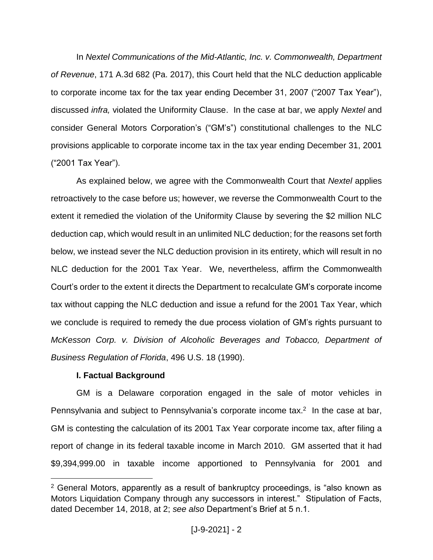In *Nextel Communications of the Mid-Atlantic, Inc. v. Commonwealth, Department of Revenue*, 171 A.3d 682 (Pa. 2017), this Court held that the NLC deduction applicable to corporate income tax for the tax year ending December 31, 2007 ("2007 Tax Year"), discussed *infra,* violated the Uniformity Clause. In the case at bar, we apply *Nextel* and consider General Motors Corporation's ("GM's") constitutional challenges to the NLC provisions applicable to corporate income tax in the tax year ending December 31, 2001 ("2001 Tax Year").

As explained below, we agree with the Commonwealth Court that *Nextel* applies retroactively to the case before us; however, we reverse the Commonwealth Court to the extent it remedied the violation of the Uniformity Clause by severing the \$2 million NLC deduction cap, which would result in an unlimited NLC deduction; for the reasons set forth below, we instead sever the NLC deduction provision in its entirety, which will result in no NLC deduction for the 2001 Tax Year. We, nevertheless, affirm the Commonwealth Court's order to the extent it directs the Department to recalculate GM's corporate income tax without capping the NLC deduction and issue a refund for the 2001 Tax Year, which we conclude is required to remedy the due process violation of GM's rights pursuant to *McKesson Corp. v. Division of Alcoholic Beverages and Tobacco, Department of Business Regulation of Florida*, 496 U.S. 18 (1990).

#### **I. Factual Background**

 $\overline{a}$ 

GM is a Delaware corporation engaged in the sale of motor vehicles in Pennsylvania and subject to Pennsylvania's corporate income tax.<sup>2</sup> In the case at bar, GM is contesting the calculation of its 2001 Tax Year corporate income tax, after filing a report of change in its federal taxable income in March 2010. GM asserted that it had \$9,394,999.00 in taxable income apportioned to Pennsylvania for 2001 and

<sup>2</sup> General Motors, apparently as a result of bankruptcy proceedings, is "also known as Motors Liquidation Company through any successors in interest." Stipulation of Facts, dated December 14, 2018, at 2; *see also* Department's Brief at 5 n.1.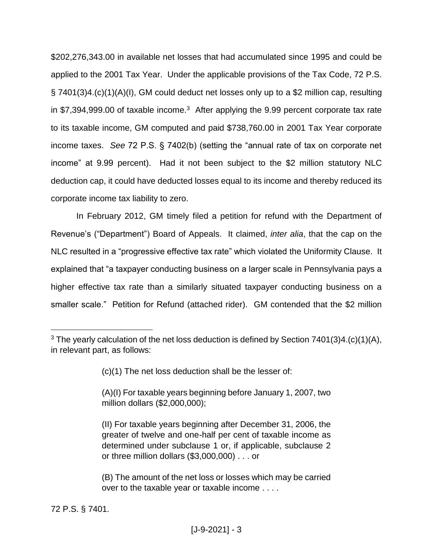\$202,276,343.00 in available net losses that had accumulated since 1995 and could be applied to the 2001 Tax Year. Under the applicable provisions of the Tax Code, 72 P.S. § 7401(3)4.(c)(1)(A)(I), GM could deduct net losses only up to a \$2 million cap, resulting in \$7,394,999.00 of taxable income.<sup>3</sup> After applying the 9.99 percent corporate tax rate to its taxable income, GM computed and paid \$738,760.00 in 2001 Tax Year corporate income taxes. *See* 72 P.S. § 7402(b) (setting the "annual rate of tax on corporate net income" at 9.99 percent). Had it not been subject to the \$2 million statutory NLC deduction cap, it could have deducted losses equal to its income and thereby reduced its corporate income tax liability to zero.

In February 2012, GM timely filed a petition for refund with the Department of Revenue's ("Department") Board of Appeals. It claimed, *inter alia*, that the cap on the NLC resulted in a "progressive effective tax rate" which violated the Uniformity Clause. It explained that "a taxpayer conducting business on a larger scale in Pennsylvania pays a higher effective tax rate than a similarly situated taxpayer conducting business on a smaller scale." Petition for Refund (attached rider). GM contended that the \$2 million

72 P.S. § 7401.

<sup>&</sup>lt;sup>3</sup> The yearly calculation of the net loss deduction is defined by Section  $7401(3)4.(c)(1)(A)$ , in relevant part, as follows:

<sup>(</sup>c)(1) The net loss deduction shall be the lesser of:

<sup>(</sup>A)(I) For taxable years beginning before January 1, 2007, two million dollars (\$2,000,000);

<sup>(</sup>II) For taxable years beginning after December 31, 2006, the greater of twelve and one-half per cent of taxable income as determined under subclause 1 or, if applicable, subclause 2 or three million dollars (\$3,000,000) . . . or

<sup>(</sup>B) The amount of the net loss or losses which may be carried over to the taxable year or taxable income . . . .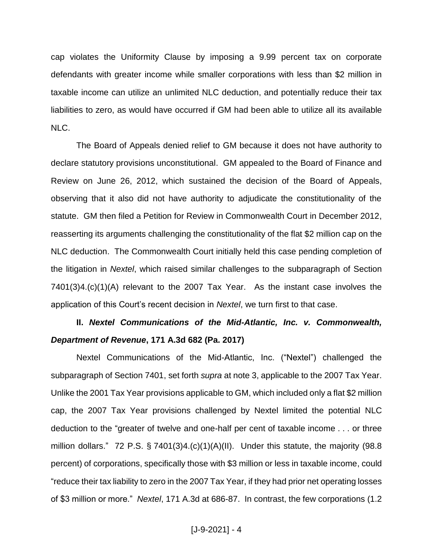cap violates the Uniformity Clause by imposing a 9.99 percent tax on corporate defendants with greater income while smaller corporations with less than \$2 million in taxable income can utilize an unlimited NLC deduction, and potentially reduce their tax liabilities to zero, as would have occurred if GM had been able to utilize all its available NLC.

The Board of Appeals denied relief to GM because it does not have authority to declare statutory provisions unconstitutional. GM appealed to the Board of Finance and Review on June 26, 2012, which sustained the decision of the Board of Appeals, observing that it also did not have authority to adjudicate the constitutionality of the statute. GM then filed a Petition for Review in Commonwealth Court in December 2012, reasserting its arguments challenging the constitutionality of the flat \$2 million cap on the NLC deduction. The Commonwealth Court initially held this case pending completion of the litigation in *Nextel*, which raised similar challenges to the subparagraph of Section 7401(3)4.(c)(1)(A) relevant to the 2007 Tax Year. As the instant case involves the application of this Court's recent decision in *Nextel*, we turn first to that case.

# **II.** *Nextel Communications of the Mid-Atlantic, Inc. v. Commonwealth, Department of Revenue***, 171 A.3d 682 (Pa. 2017)**

Nextel Communications of the Mid-Atlantic, Inc. ("Nextel") challenged the subparagraph of Section 7401, set forth *supra* at note 3, applicable to the 2007 Tax Year. Unlike the 2001 Tax Year provisions applicable to GM, which included only a flat \$2 million cap, the 2007 Tax Year provisions challenged by Nextel limited the potential NLC deduction to the "greater of twelve and one-half per cent of taxable income . . . or three million dollars." 72 P.S.  $\S$  7401(3)4.(c)(1)(A)(II). Under this statute, the majority (98.8 percent) of corporations, specifically those with \$3 million or less in taxable income, could "reduce their tax liability to zero in the 2007 Tax Year, if they had prior net operating losses of \$3 million or more." *Nextel*, 171 A.3d at 686-87. In contrast, the few corporations (1.2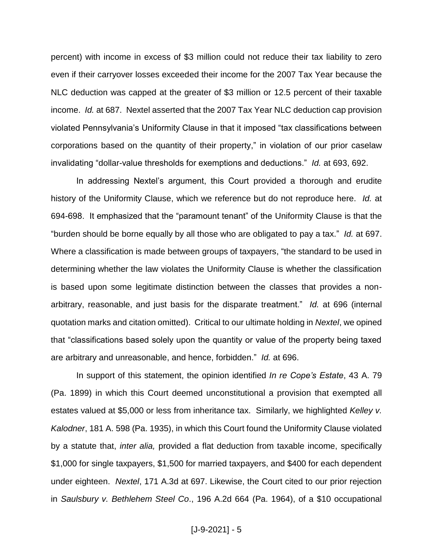percent) with income in excess of \$3 million could not reduce their tax liability to zero even if their carryover losses exceeded their income for the 2007 Tax Year because the NLC deduction was capped at the greater of \$3 million or 12.5 percent of their taxable income. *Id.* at 687. Nextel asserted that the 2007 Tax Year NLC deduction cap provision violated Pennsylvania's Uniformity Clause in that it imposed "tax classifications between corporations based on the quantity of their property," in violation of our prior caselaw invalidating "dollar-value thresholds for exemptions and deductions." *Id.* at 693, 692.

In addressing Nextel's argument, this Court provided a thorough and erudite history of the Uniformity Clause, which we reference but do not reproduce here. *Id.* at 694-698. It emphasized that the "paramount tenant" of the Uniformity Clause is that the "burden should be borne equally by all those who are obligated to pay a tax." *Id.* at 697. Where a classification is made between groups of taxpayers, "the standard to be used in determining whether the law violates the Uniformity Clause is whether the classification is based upon some legitimate distinction between the classes that provides a nonarbitrary, reasonable, and just basis for the disparate treatment." *Id.* at 696 (internal quotation marks and citation omitted). Critical to our ultimate holding in *Nextel*, we opined that "classifications based solely upon the quantity or value of the property being taxed are arbitrary and unreasonable, and hence, forbidden." *Id.* at 696.

In support of this statement, the opinion identified *In re Cope's Estate*, 43 A. 79 (Pa. 1899) in which this Court deemed unconstitutional a provision that exempted all estates valued at \$5,000 or less from inheritance tax. Similarly, we highlighted *Kelley v. Kalodner*, 181 A. 598 (Pa. 1935), in which this Court found the Uniformity Clause violated by a statute that, *inter alia,* provided a flat deduction from taxable income, specifically \$1,000 for single taxpayers, \$1,500 for married taxpayers, and \$400 for each dependent under eighteen. *Nextel*, 171 A.3d at 697. Likewise, the Court cited to our prior rejection in *Saulsbury v. Bethlehem Steel Co*., 196 A.2d 664 (Pa. 1964), of a \$10 occupational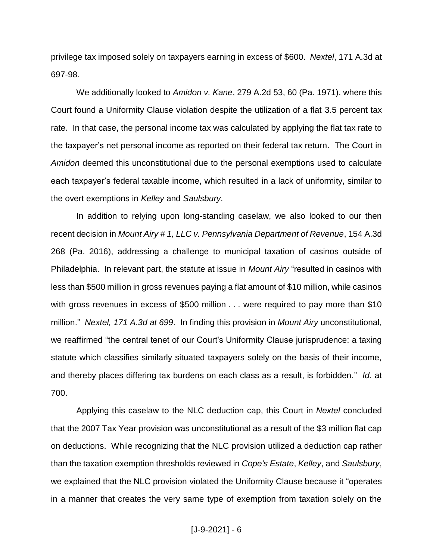privilege tax imposed solely on taxpayers earning in excess of \$600. *Nextel*, 171 A.3d at 697-98.

We additionally looked to *Amidon v. Kane*, 279 A.2d 53, 60 (Pa. 1971), where this Court found a Uniformity Clause violation despite the utilization of a flat 3.5 percent tax rate. In that case, the personal income tax was calculated by applying the flat tax rate to the taxpayer's net personal income as reported on their federal tax return. The Court in *Amidon* deemed this unconstitutional due to the personal exemptions used to calculate each taxpayer's federal taxable income, which resulted in a lack of uniformity, similar to the overt exemptions in *Kelley* and *Saulsbury*.

In addition to relying upon long-standing caselaw, we also looked to our then recent decision in *Mount Airy # 1, LLC v. Pennsylvania Department of Revenue*, 154 A.3d 268 (Pa. 2016), addressing a challenge to municipal taxation of casinos outside of Philadelphia. In relevant part, the statute at issue in *Mount Airy* "resulted in casinos with less than \$500 million in gross revenues paying a flat amount of \$10 million, while casinos with gross revenues in excess of \$500 million . . . were required to pay more than \$10 million." *Nextel, 171 A.3d at 699*. In finding this provision in *Mount Airy* unconstitutional, we reaffirmed "the central tenet of our Court's Uniformity Clause jurisprudence: a taxing statute which classifies similarly situated taxpayers solely on the basis of their income, and thereby places differing tax burdens on each class as a result, is forbidden." *Id.* at 700.

Applying this caselaw to the NLC deduction cap, this Court in *Nextel* concluded that the 2007 Tax Year provision was unconstitutional as a result of the \$3 million flat cap on deductions. While recognizing that the NLC provision utilized a deduction cap rather than the taxation exemption thresholds reviewed in *Cope's Estate*, *Kelley*, and *Saulsbury*, we explained that the NLC provision violated the Uniformity Clause because it "operates in a manner that creates the very same type of exemption from taxation solely on the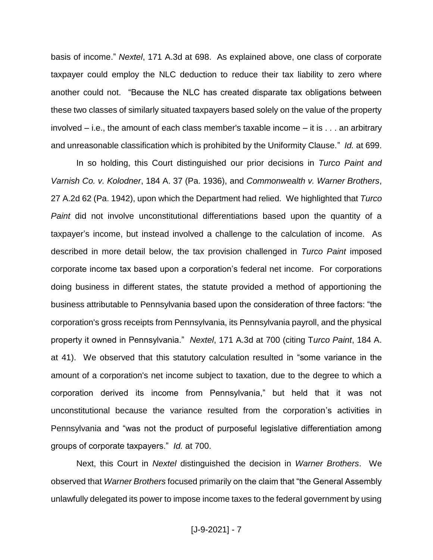basis of income." *Nextel*, 171 A.3d at 698. As explained above, one class of corporate taxpayer could employ the NLC deduction to reduce their tax liability to zero where another could not. "Because the NLC has created disparate tax obligations between these two classes of similarly situated taxpayers based solely on the value of the property involved – i.e., the amount of each class member's taxable income – it is . . . an arbitrary and unreasonable classification which is prohibited by the Uniformity Clause." *Id.* at 699.

In so holding, this Court distinguished our prior decisions in *Turco Paint and Varnish Co. v. Kolodner*, 184 A. 37 (Pa. 1936), and *Commonwealth v. Warner Brothers*, 27 A.2d 62 (Pa. 1942), upon which the Department had relied*.* We highlighted that *Turco Paint* did not involve unconstitutional differentiations based upon the quantity of a taxpayer's income, but instead involved a challenge to the calculation of income. As described in more detail below, the tax provision challenged in *Turco Paint* imposed corporate income tax based upon a corporation's federal net income. For corporations doing business in different states, the statute provided a method of apportioning the business attributable to Pennsylvania based upon the consideration of three factors: "the corporation's gross receipts from Pennsylvania, its Pennsylvania payroll, and the physical property it owned in Pennsylvania." *Nextel*, 171 A.3d at 700 (citing T*urco Paint*, 184 A. at 41). We observed that this statutory calculation resulted in "some variance in the amount of a corporation's net income subject to taxation, due to the degree to which a corporation derived its income from Pennsylvania," but held that it was not unconstitutional because the variance resulted from the corporation's activities in Pennsylvania and "was not the product of purposeful legislative differentiation among groups of corporate taxpayers." *Id.* at 700.

Next, this Court in *Nextel* distinguished the decision in *Warner Brothers*. We observed that *Warner Brothers* focused primarily on the claim that "the General Assembly unlawfully delegated its power to impose income taxes to the federal government by using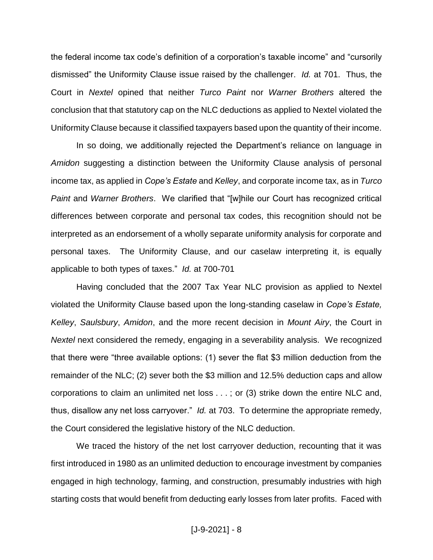the federal income tax code's definition of a corporation's taxable income" and "cursorily dismissed" the Uniformity Clause issue raised by the challenger. *Id.* at 701. Thus, the Court in *Nextel* opined that neither *Turco Paint* nor *Warner Brothers* altered the conclusion that that statutory cap on the NLC deductions as applied to Nextel violated the Uniformity Clause because it classified taxpayers based upon the quantity of their income.

In so doing, we additionally rejected the Department's reliance on language in *Amidon* suggesting a distinction between the Uniformity Clause analysis of personal income tax, as applied in *Cope's Estate* and *Kelley*, and corporate income tax, as in *Turco Paint* and *Warner Brothers*. We clarified that "[w]hile our Court has recognized critical differences between corporate and personal tax codes, this recognition should not be interpreted as an endorsement of a wholly separate uniformity analysis for corporate and personal taxes. The Uniformity Clause, and our caselaw interpreting it, is equally applicable to both types of taxes." *Id.* at 700-701

Having concluded that the 2007 Tax Year NLC provision as applied to Nextel violated the Uniformity Clause based upon the long-standing caselaw in *Cope's Estate, Kelley*, *Saulsbury*, *Amidon*, and the more recent decision in *Mount Airy*, the Court in *Nextel* next considered the remedy, engaging in a severability analysis. We recognized that there were "three available options: (1) sever the flat \$3 million deduction from the remainder of the NLC; (2) sever both the \$3 million and 12.5% deduction caps and allow corporations to claim an unlimited net loss . . . ; or (3) strike down the entire NLC and, thus, disallow any net loss carryover." *Id.* at 703. To determine the appropriate remedy, the Court considered the legislative history of the NLC deduction.

We traced the history of the net lost carryover deduction, recounting that it was first introduced in 1980 as an unlimited deduction to encourage investment by companies engaged in high technology, farming, and construction, presumably industries with high starting costs that would benefit from deducting early losses from later profits. Faced with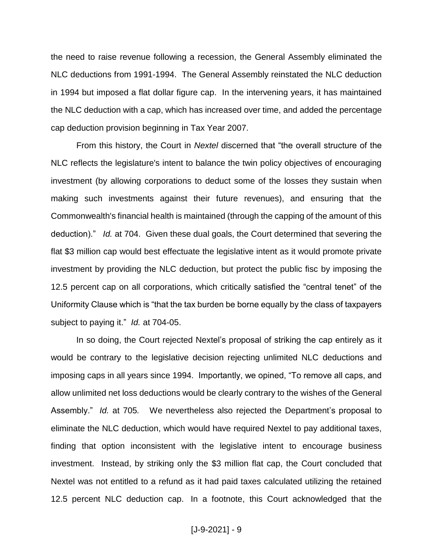the need to raise revenue following a recession, the General Assembly eliminated the NLC deductions from 1991-1994. The General Assembly reinstated the NLC deduction in 1994 but imposed a flat dollar figure cap. In the intervening years, it has maintained the NLC deduction with a cap, which has increased over time, and added the percentage cap deduction provision beginning in Tax Year 2007.

From this history, the Court in *Nextel* discerned that "the overall structure of the NLC reflects the legislature's intent to balance the twin policy objectives of encouraging investment (by allowing corporations to deduct some of the losses they sustain when making such investments against their future revenues), and ensuring that the Commonwealth's financial health is maintained (through the capping of the amount of this deduction)." *Id.* at 704. Given these dual goals, the Court determined that severing the flat \$3 million cap would best effectuate the legislative intent as it would promote private investment by providing the NLC deduction, but protect the public fisc by imposing the 12.5 percent cap on all corporations, which critically satisfied the "central tenet" of the Uniformity Clause which is "that the tax burden be borne equally by the class of taxpayers subject to paying it." *Id.* at 704-05.

In so doing, the Court rejected Nextel's proposal of striking the cap entirely as it would be contrary to the legislative decision rejecting unlimited NLC deductions and imposing caps in all years since 1994. Importantly, we opined, "To remove all caps, and allow unlimited net loss deductions would be clearly contrary to the wishes of the General Assembly." *Id.* at 705*.* We nevertheless also rejected the Department's proposal to eliminate the NLC deduction, which would have required Nextel to pay additional taxes, finding that option inconsistent with the legislative intent to encourage business investment. Instead, by striking only the \$3 million flat cap, the Court concluded that Nextel was not entitled to a refund as it had paid taxes calculated utilizing the retained 12.5 percent NLC deduction cap. In a footnote, this Court acknowledged that the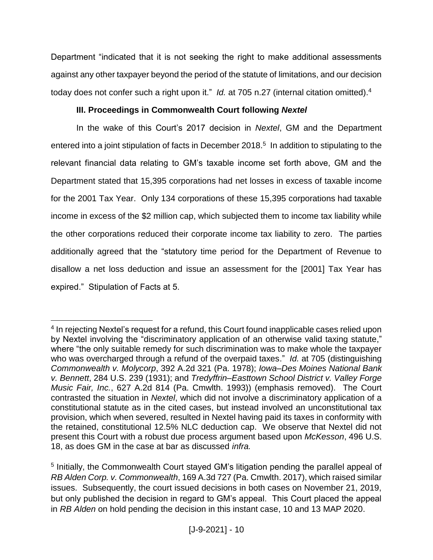Department "indicated that it is not seeking the right to make additional assessments against any other taxpayer beyond the period of the statute of limitations, and our decision today does not confer such a right upon it." *Id.* at 705 n.27 (internal citation omitted).<sup>4</sup>

## **III. Proceedings in Commonwealth Court following** *Nextel*

In the wake of this Court's 2017 decision in *Nextel*, GM and the Department entered into a joint stipulation of facts in December 2018.<sup>5</sup> In addition to stipulating to the relevant financial data relating to GM's taxable income set forth above, GM and the Department stated that 15,395 corporations had net losses in excess of taxable income for the 2001 Tax Year. Only 134 corporations of these 15,395 corporations had taxable income in excess of the \$2 million cap, which subjected them to income tax liability while the other corporations reduced their corporate income tax liability to zero. The parties additionally agreed that the "statutory time period for the Department of Revenue to disallow a net loss deduction and issue an assessment for the [2001] Tax Year has expired." Stipulation of Facts at 5.

<sup>&</sup>lt;sup>4</sup> In rejecting Nextel's request for a refund, this Court found inapplicable cases relied upon by Nextel involving the "discriminatory application of an otherwise valid taxing statute," where "the only suitable remedy for such discrimination was to make whole the taxpayer who was overcharged through a refund of the overpaid taxes." *Id.* at 705 (distinguishing *Commonwealth v. Molycorp*, 392 A.2d 321 (Pa. 1978); *Iowa–Des Moines National Bank v. Bennett*, 284 U.S. 239 (1931); and *Tredyffrin–Easttown School District v. Valley Forge Music Fair, Inc.*, 627 A.2d 814 (Pa. Cmwlth. 1993)) (emphasis removed). The Court contrasted the situation in *Nextel*, which did not involve a discriminatory application of a constitutional statute as in the cited cases, but instead involved an unconstitutional tax provision, which when severed, resulted in Nextel having paid its taxes in conformity with the retained, constitutional 12.5% NLC deduction cap. We observe that Nextel did not present this Court with a robust due process argument based upon *McKesson*, 496 U.S. 18, as does GM in the case at bar as discussed *infra.*

<sup>&</sup>lt;sup>5</sup> Initially, the Commonwealth Court stayed GM's litigation pending the parallel appeal of *RB Alden Corp. v. Commonwealth*, 169 A.3d 727 (Pa. Cmwlth. 2017), which raised similar issues. Subsequently, the court issued decisions in both cases on November 21, 2019, but only published the decision in regard to GM's appeal. This Court placed the appeal in *RB Alden* on hold pending the decision in this instant case, 10 and 13 MAP 2020.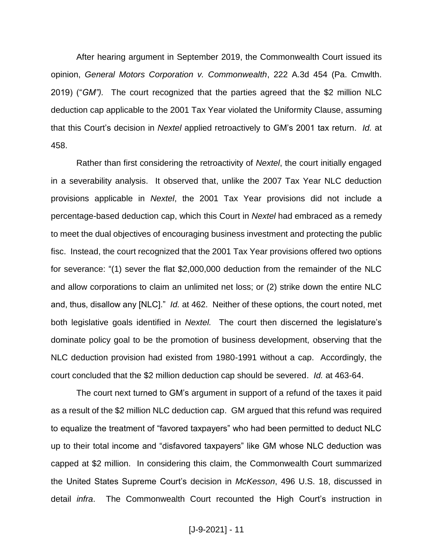After hearing argument in September 2019, the Commonwealth Court issued its opinion, *General Motors Corporation v. Commonwealth*, 222 A.3d 454 (Pa. Cmwlth. 2019) ("*GM").* The court recognized that the parties agreed that the \$2 million NLC deduction cap applicable to the 2001 Tax Year violated the Uniformity Clause, assuming that this Court's decision in *Nextel* applied retroactively to GM's 2001 tax return. *Id.* at 458.

Rather than first considering the retroactivity of *Nextel*, the court initially engaged in a severability analysis. It observed that, unlike the 2007 Tax Year NLC deduction provisions applicable in *Nextel*, the 2001 Tax Year provisions did not include a percentage-based deduction cap, which this Court in *Nextel* had embraced as a remedy to meet the dual objectives of encouraging business investment and protecting the public fisc. Instead, the court recognized that the 2001 Tax Year provisions offered two options for severance: "(1) sever the flat \$2,000,000 deduction from the remainder of the NLC and allow corporations to claim an unlimited net loss; or (2) strike down the entire NLC and, thus, disallow any [NLC]." *Id.* at 462. Neither of these options, the court noted, met both legislative goals identified in *Nextel.* The court then discerned the legislature's dominate policy goal to be the promotion of business development, observing that the NLC deduction provision had existed from 1980-1991 without a cap. Accordingly, the court concluded that the \$2 million deduction cap should be severed. *Id.* at 463-64.

The court next turned to GM's argument in support of a refund of the taxes it paid as a result of the \$2 million NLC deduction cap. GM argued that this refund was required to equalize the treatment of "favored taxpayers" who had been permitted to deduct NLC up to their total income and "disfavored taxpayers" like GM whose NLC deduction was capped at \$2 million. In considering this claim, the Commonwealth Court summarized the United States Supreme Court's decision in *McKesson*, 496 U.S. 18, discussed in detail *infra*. The Commonwealth Court recounted the High Court's instruction in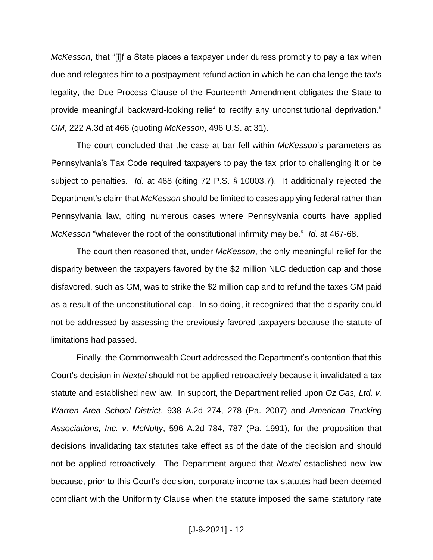*McKesson*, that "[i]f a State places a taxpayer under duress promptly to pay a tax when due and relegates him to a postpayment refund action in which he can challenge the tax's legality, the Due Process Clause of the Fourteenth Amendment obligates the State to provide meaningful backward-looking relief to rectify any unconstitutional deprivation." *GM*, 222 A.3d at 466 (quoting *McKesson*, 496 U.S. at 31).

The court concluded that the case at bar fell within *McKesson*'s parameters as Pennsylvania's Tax Code required taxpayers to pay the tax prior to challenging it or be subject to penalties. *Id.* at 468 (citing 72 P.S. § 10003.7). It additionally rejected the Department's claim that *McKesson* should be limited to cases applying federal rather than Pennsylvania law, citing numerous cases where Pennsylvania courts have applied *McKesson* "whatever the root of the constitutional infirmity may be." *Id.* at 467-68.

The court then reasoned that, under *McKesson*, the only meaningful relief for the disparity between the taxpayers favored by the \$2 million NLC deduction cap and those disfavored, such as GM, was to strike the \$2 million cap and to refund the taxes GM paid as a result of the unconstitutional cap. In so doing, it recognized that the disparity could not be addressed by assessing the previously favored taxpayers because the statute of limitations had passed.

Finally, the Commonwealth Court addressed the Department's contention that this Court's decision in *Nextel* should not be applied retroactively because it invalidated a tax statute and established new law. In support, the Department relied upon *Oz Gas, Ltd. v. Warren Area School District*, 938 A.2d 274, 278 (Pa. 2007) and *American Trucking Associations, Inc. v. McNulty*, 596 A.2d 784, 787 (Pa. 1991), for the proposition that decisions invalidating tax statutes take effect as of the date of the decision and should not be applied retroactively. The Department argued that *Nextel* established new law because, prior to this Court's decision, corporate income tax statutes had been deemed compliant with the Uniformity Clause when the statute imposed the same statutory rate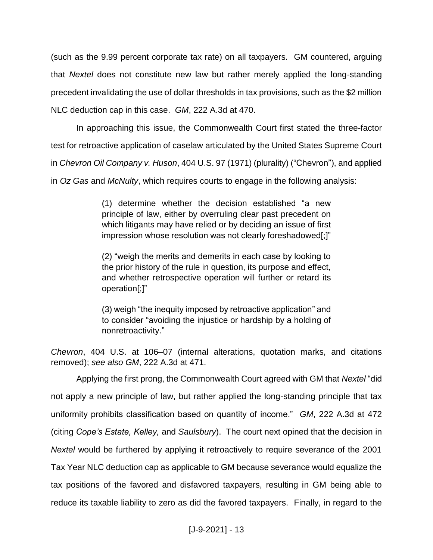(such as the 9.99 percent corporate tax rate) on all taxpayers. GM countered, arguing that *Nextel* does not constitute new law but rather merely applied the long-standing precedent invalidating the use of dollar thresholds in tax provisions, such as the \$2 million NLC deduction cap in this case. *GM*, 222 A.3d at 470.

In approaching this issue, the Commonwealth Court first stated the three-factor test for retroactive application of caselaw articulated by the United States Supreme Court in *Chevron Oil Company v. Huson*, 404 U.S. 97 (1971) (plurality) ("Chevron"), and applied in *Oz Gas* and *McNulty*, which requires courts to engage in the following analysis:

> (1) determine whether the decision established "a new principle of law, either by overruling clear past precedent on which litigants may have relied or by deciding an issue of first impression whose resolution was not clearly foreshadowed[;]"

> (2) "weigh the merits and demerits in each case by looking to the prior history of the rule in question, its purpose and effect, and whether retrospective operation will further or retard its operation[;]"

> (3) weigh "the inequity imposed by retroactive application" and to consider "avoiding the injustice or hardship by a holding of nonretroactivity."

*Chevron*, 404 U.S. at 106–07 (internal alterations, quotation marks, and citations removed); *see also GM*, 222 A.3d at 471.

Applying the first prong, the Commonwealth Court agreed with GM that *Nextel* "did not apply a new principle of law, but rather applied the long-standing principle that tax uniformity prohibits classification based on quantity of income." *GM*, 222 A.3d at 472 (citing *Cope's Estate, Kelley,* and *Saulsbury*). The court next opined that the decision in *Nextel* would be furthered by applying it retroactively to require severance of the 2001 Tax Year NLC deduction cap as applicable to GM because severance would equalize the tax positions of the favored and disfavored taxpayers, resulting in GM being able to reduce its taxable liability to zero as did the favored taxpayers. Finally, in regard to the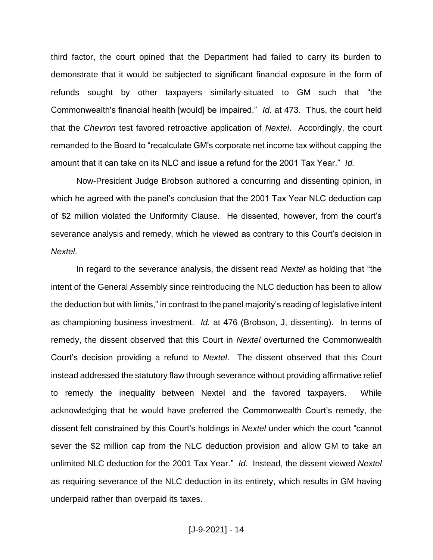third factor, the court opined that the Department had failed to carry its burden to demonstrate that it would be subjected to significant financial exposure in the form of refunds sought by other taxpayers similarly-situated to GM such that "the Commonwealth's financial health [would] be impaired." *Id.* at 473. Thus, the court held that the *Chevron* test favored retroactive application of *Nextel*. Accordingly, the court remanded to the Board to "recalculate GM's corporate net income tax without capping the amount that it can take on its NLC and issue a refund for the 2001 Tax Year." *Id.*

Now-President Judge Brobson authored a concurring and dissenting opinion, in which he agreed with the panel's conclusion that the 2001 Tax Year NLC deduction cap of \$2 million violated the Uniformity Clause. He dissented, however, from the court's severance analysis and remedy, which he viewed as contrary to this Court's decision in *Nextel*.

In regard to the severance analysis, the dissent read *Nextel* as holding that "the intent of the General Assembly since reintroducing the NLC deduction has been to allow the deduction but with limits," in contrast to the panel majority's reading of legislative intent as championing business investment. *Id.* at 476 (Brobson, J, dissenting). In terms of remedy, the dissent observed that this Court in *Nextel* overturned the Commonwealth Court's decision providing a refund to *Nextel*. The dissent observed that this Court instead addressed the statutory flaw through severance without providing affirmative relief to remedy the inequality between Nextel and the favored taxpayers. While acknowledging that he would have preferred the Commonwealth Court's remedy, the dissent felt constrained by this Court's holdings in *Nextel* under which the court "cannot sever the \$2 million cap from the NLC deduction provision and allow GM to take an unlimited NLC deduction for the 2001 Tax Year." *Id.* Instead, the dissent viewed *Nextel* as requiring severance of the NLC deduction in its entirety, which results in GM having underpaid rather than overpaid its taxes.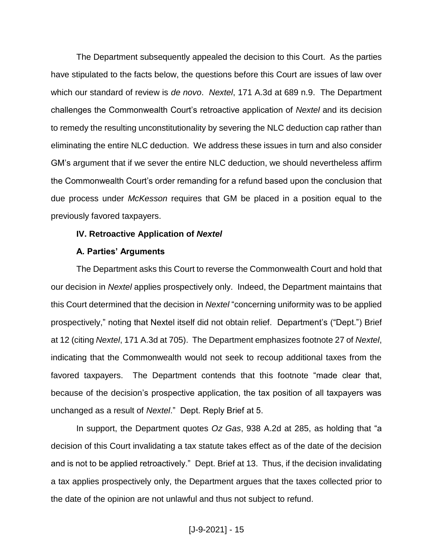The Department subsequently appealed the decision to this Court. As the parties have stipulated to the facts below, the questions before this Court are issues of law over which our standard of review is *de novo*. *Nextel*, 171 A.3d at 689 n.9. The Department challenges the Commonwealth Court's retroactive application of *Nextel* and its decision to remedy the resulting unconstitutionality by severing the NLC deduction cap rather than eliminating the entire NLC deduction. We address these issues in turn and also consider GM's argument that if we sever the entire NLC deduction, we should nevertheless affirm the Commonwealth Court's order remanding for a refund based upon the conclusion that due process under *McKesson* requires that GM be placed in a position equal to the previously favored taxpayers.

#### **IV. Retroactive Application of** *Nextel*

#### **A. Parties' Arguments**

The Department asks this Court to reverse the Commonwealth Court and hold that our decision in *Nextel* applies prospectively only. Indeed, the Department maintains that this Court determined that the decision in *Nextel* "concerning uniformity was to be applied prospectively," noting that Nextel itself did not obtain relief. Department's ("Dept.") Brief at 12 (citing *Nextel*, 171 A.3d at 705). The Department emphasizes footnote 27 of *Nextel*, indicating that the Commonwealth would not seek to recoup additional taxes from the favored taxpayers. The Department contends that this footnote "made clear that, because of the decision's prospective application, the tax position of all taxpayers was unchanged as a result of *Nextel*." Dept. Reply Brief at 5.

In support, the Department quotes *Oz Gas*, 938 A.2d at 285, as holding that "a decision of this Court invalidating a tax statute takes effect as of the date of the decision and is not to be applied retroactively." Dept. Brief at 13. Thus, if the decision invalidating a tax applies prospectively only, the Department argues that the taxes collected prior to the date of the opinion are not unlawful and thus not subject to refund.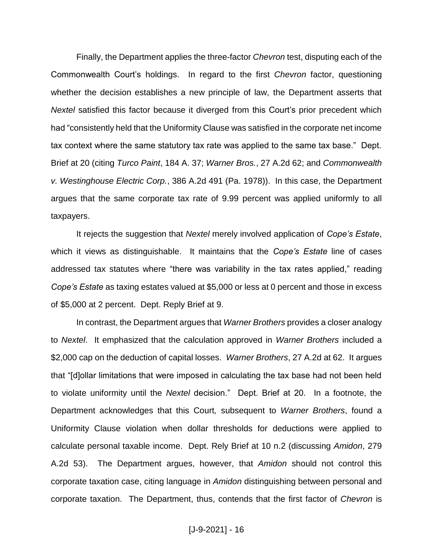Finally, the Department applies the three-factor *Chevron* test, disputing each of the Commonwealth Court's holdings. In regard to the first *Chevron* factor, questioning whether the decision establishes a new principle of law, the Department asserts that *Nextel* satisfied this factor because it diverged from this Court's prior precedent which had "consistently held that the Uniformity Clause was satisfied in the corporate net income tax context where the same statutory tax rate was applied to the same tax base." Dept. Brief at 20 (citing *Turco Paint*, 184 A. 37; *Warner Bros.*, 27 A.2d 62; and *Commonwealth v. Westinghouse Electric Corp.*, 386 A.2d 491 (Pa. 1978)). In this case, the Department argues that the same corporate tax rate of 9.99 percent was applied uniformly to all taxpayers.

It rejects the suggestion that *Nextel* merely involved application of *Cope's Estate*, which it views as distinguishable. It maintains that the *Cope's Estate* line of cases addressed tax statutes where "there was variability in the tax rates applied," reading *Cope's Estate* as taxing estates valued at \$5,000 or less at 0 percent and those in excess of \$5,000 at 2 percent. Dept. Reply Brief at 9.

In contrast, the Department argues that *Warner Brothers* provides a closer analogy to *Nextel*. It emphasized that the calculation approved in *Warner Brothers* included a \$2,000 cap on the deduction of capital losses. *Warner Brothers*, 27 A.2d at 62. It argues that "[d]ollar limitations that were imposed in calculating the tax base had not been held to violate uniformity until the *Nextel* decision." Dept. Brief at 20*.* In a footnote, the Department acknowledges that this Court*,* subsequent to *Warner Brothers*, found a Uniformity Clause violation when dollar thresholds for deductions were applied to calculate personal taxable income. Dept. Rely Brief at 10 n.2 (discussing *Amidon*, 279 A.2d 53). The Department argues, however, that *Amidon* should not control this corporate taxation case, citing language in *Amidon* distinguishing between personal and corporate taxation. The Department, thus, contends that the first factor of *Chevron* is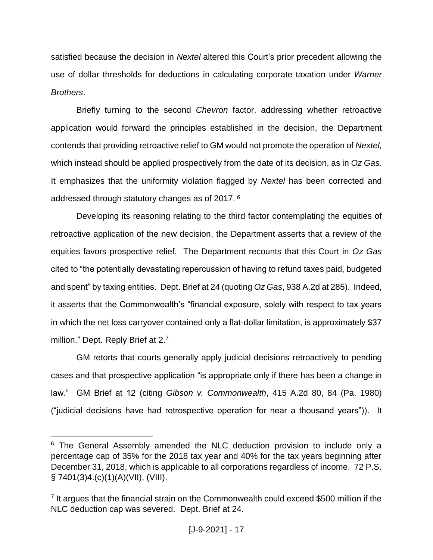satisfied because the decision in *Nextel* altered this Court's prior precedent allowing the use of dollar thresholds for deductions in calculating corporate taxation under *Warner Brothers*.

Briefly turning to the second *Chevron* factor, addressing whether retroactive application would forward the principles established in the decision, the Department contends that providing retroactive relief to GM would not promote the operation of *Nextel,* which instead should be applied prospectively from the date of its decision, as in *Oz Gas.*  It emphasizes that the uniformity violation flagged by *Nextel* has been corrected and addressed through statutory changes as of 2017. *<sup>6</sup>*

Developing its reasoning relating to the third factor contemplating the equities of retroactive application of the new decision, the Department asserts that a review of the equities favors prospective relief. The Department recounts that this Court in *Oz Gas* cited to "the potentially devastating repercussion of having to refund taxes paid, budgeted and spent" by taxing entities. Dept. Brief at 24 (quoting *Oz Gas*, 938 A.2d at 285). Indeed, it asserts that the Commonwealth's "financial exposure, solely with respect to tax years in which the net loss carryover contained only a flat-dollar limitation, is approximately \$37 million." Dept. Reply Brief at 2.7

GM retorts that courts generally apply judicial decisions retroactively to pending cases and that prospective application "is appropriate only if there has been a change in law." GM Brief at 12 (citing *Gibson v. Commonwealth*, 415 A.2d 80, 84 (Pa. 1980) ("judicial decisions have had retrospective operation for near a thousand years")). It

<sup>&</sup>lt;sup>6</sup> The General Assembly amended the NLC deduction provision to include only a percentage cap of 35% for the 2018 tax year and 40% for the tax years beginning after December 31, 2018, which is applicable to all corporations regardless of income. 72 P.S. § 7401(3)4.(c)(1)(A)(VII), (VIII).

<sup>&</sup>lt;sup>7</sup> It argues that the financial strain on the Commonwealth could exceed \$500 million if the NLC deduction cap was severed. Dept. Brief at 24.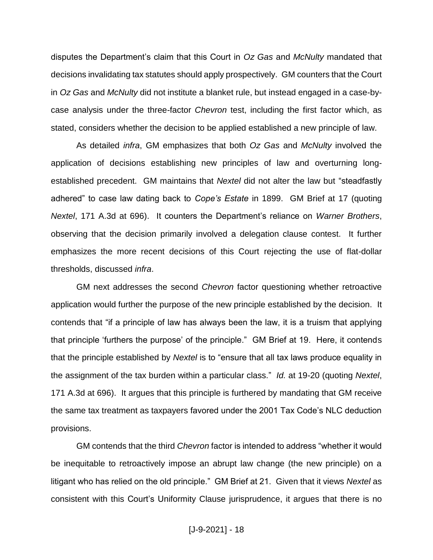disputes the Department's claim that this Court in *Oz Gas* and *McNulty* mandated that decisions invalidating tax statutes should apply prospectively. GM counters that the Court in *Oz Gas* and *McNulty* did not institute a blanket rule, but instead engaged in a case-bycase analysis under the three-factor *Chevron* test, including the first factor which, as stated, considers whether the decision to be applied established a new principle of law.

As detailed *infra*, GM emphasizes that both *Oz Gas* and *McNulty* involved the application of decisions establishing new principles of law and overturning longestablished precedent. GM maintains that *Nextel* did not alter the law but "steadfastly adhered" to case law dating back to *Cope's Estate* in 1899. GM Brief at 17 (quoting *Nextel*, 171 A.3d at 696). It counters the Department's reliance on *Warner Brothers*, observing that the decision primarily involved a delegation clause contest. It further emphasizes the more recent decisions of this Court rejecting the use of flat-dollar thresholds, discussed *infra*.

GM next addresses the second *Chevron* factor questioning whether retroactive application would further the purpose of the new principle established by the decision. It contends that "if a principle of law has always been the law, it is a truism that applying that principle 'furthers the purpose' of the principle." GM Brief at 19. Here, it contends that the principle established by *Nextel* is to "ensure that all tax laws produce equality in the assignment of the tax burden within a particular class." *Id.* at 19-20 (quoting *Nextel*, 171 A.3d at 696). It argues that this principle is furthered by mandating that GM receive the same tax treatment as taxpayers favored under the 2001 Tax Code's NLC deduction provisions.

GM contends that the third *Chevron* factor is intended to address "whether it would be inequitable to retroactively impose an abrupt law change (the new principle) on a litigant who has relied on the old principle." GM Brief at 21. Given that it views *Nextel* as consistent with this Court's Uniformity Clause jurisprudence, it argues that there is no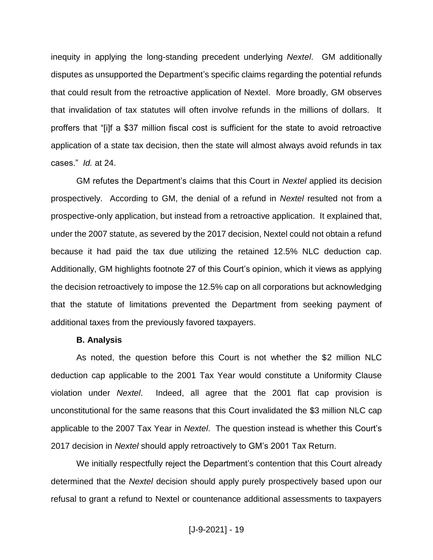inequity in applying the long-standing precedent underlying *Nextel*. GM additionally disputes as unsupported the Department's specific claims regarding the potential refunds that could result from the retroactive application of Nextel. More broadly, GM observes that invalidation of tax statutes will often involve refunds in the millions of dollars. It proffers that "[i]f a \$37 million fiscal cost is sufficient for the state to avoid retroactive application of a state tax decision, then the state will almost always avoid refunds in tax cases." *Id.* at 24.

GM refutes the Department's claims that this Court in *Nextel* applied its decision prospectively. According to GM, the denial of a refund in *Nextel* resulted not from a prospective-only application, but instead from a retroactive application. It explained that, under the 2007 statute, as severed by the 2017 decision, Nextel could not obtain a refund because it had paid the tax due utilizing the retained 12.5% NLC deduction cap. Additionally, GM highlights footnote 27 of this Court's opinion, which it views as applying the decision retroactively to impose the 12.5% cap on all corporations but acknowledging that the statute of limitations prevented the Department from seeking payment of additional taxes from the previously favored taxpayers.

#### **B. Analysis**

As noted, the question before this Court is not whether the \$2 million NLC deduction cap applicable to the 2001 Tax Year would constitute a Uniformity Clause violation under *Nextel*. Indeed, all agree that the 2001 flat cap provision is unconstitutional for the same reasons that this Court invalidated the \$3 million NLC cap applicable to the 2007 Tax Year in *Nextel*. The question instead is whether this Court's 2017 decision in *Nextel* should apply retroactively to GM's 2001 Tax Return.

We initially respectfully reject the Department's contention that this Court already determined that the *Nextel* decision should apply purely prospectively based upon our refusal to grant a refund to Nextel or countenance additional assessments to taxpayers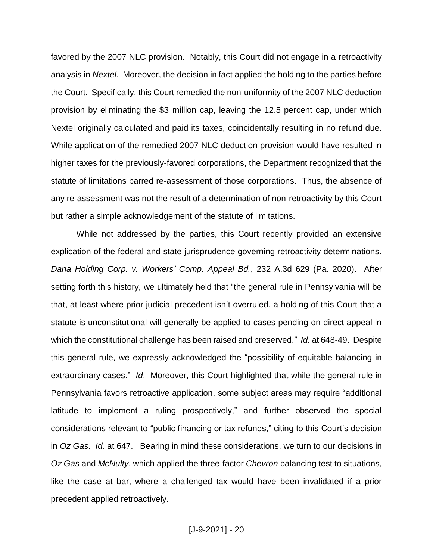favored by the 2007 NLC provision. Notably, this Court did not engage in a retroactivity analysis in *Nextel*. Moreover, the decision in fact applied the holding to the parties before the Court. Specifically, this Court remedied the non-uniformity of the 2007 NLC deduction provision by eliminating the \$3 million cap, leaving the 12.5 percent cap, under which Nextel originally calculated and paid its taxes, coincidentally resulting in no refund due. While application of the remedied 2007 NLC deduction provision would have resulted in higher taxes for the previously-favored corporations, the Department recognized that the statute of limitations barred re-assessment of those corporations. Thus, the absence of any re-assessment was not the result of a determination of non-retroactivity by this Court but rather a simple acknowledgement of the statute of limitations.

While not addressed by the parties, this Court recently provided an extensive explication of the federal and state jurisprudence governing retroactivity determinations. *Dana Holding Corp. v. Workers' Comp. Appeal Bd.*, 232 A.3d 629 (Pa. 2020). After setting forth this history, we ultimately held that "the general rule in Pennsylvania will be that, at least where prior judicial precedent isn't overruled, a holding of this Court that a statute is unconstitutional will generally be applied to cases pending on direct appeal in which the constitutional challenge has been raised and preserved." *Id.* at 648-49. Despite this general rule, we expressly acknowledged the "possibility of equitable balancing in extraordinary cases." *Id*. Moreover, this Court highlighted that while the general rule in Pennsylvania favors retroactive application, some subject areas may require "additional latitude to implement a ruling prospectively," and further observed the special considerations relevant to "public financing or tax refunds," citing to this Court's decision in *Oz Gas. Id.* at 647. Bearing in mind these considerations, we turn to our decisions in *Oz Gas* and *McNulty*, which applied the three-factor *Chevron* balancing test to situations, like the case at bar, where a challenged tax would have been invalidated if a prior precedent applied retroactively.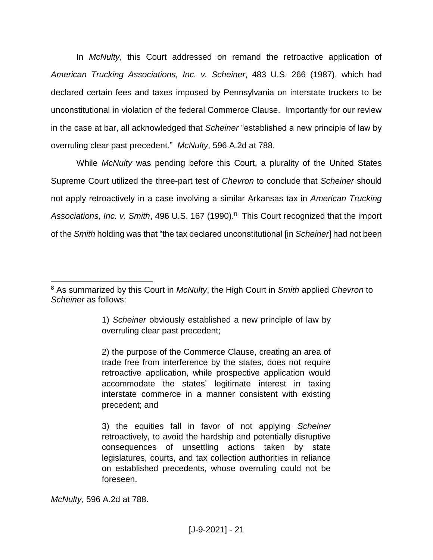In *McNulty*, this Court addressed on remand the retroactive application of *American Trucking Associations, Inc. v. Scheiner*, 483 U.S. 266 (1987), which had declared certain fees and taxes imposed by Pennsylvania on interstate truckers to be unconstitutional in violation of the federal Commerce Clause. Importantly for our review in the case at bar, all acknowledged that *Scheiner* "established a new principle of law by overruling clear past precedent." *McNulty*, 596 A.2d at 788.

While *McNulty* was pending before this Court, a plurality of the United States Supreme Court utilized the three-part test of *Chevron* to conclude that *Scheiner* should not apply retroactively in a case involving a similar Arkansas tax in *American Trucking*  Associations, Inc. v. Smith, 496 U.S. 167 (1990).<sup>8</sup> This Court recognized that the import of the *Smith* holding was that "the tax declared unconstitutional [in *Scheiner*] had not been

1) *Scheiner* obviously established a new principle of law by overruling clear past precedent;

2) the purpose of the Commerce Clause, creating an area of trade free from interference by the states, does not require retroactive application, while prospective application would accommodate the states' legitimate interest in taxing interstate commerce in a manner consistent with existing precedent; and

3) the equities fall in favor of not applying *Scheiner* retroactively, to avoid the hardship and potentially disruptive consequences of unsettling actions taken by state legislatures, courts, and tax collection authorities in reliance on established precedents, whose overruling could not be foreseen.

*McNulty*, 596 A.2d at 788.

 $\overline{a}$ <sup>8</sup> As summarized by this Court in *McNulty*, the High Court in *Smith* applied *Chevron* to *Scheiner* as follows: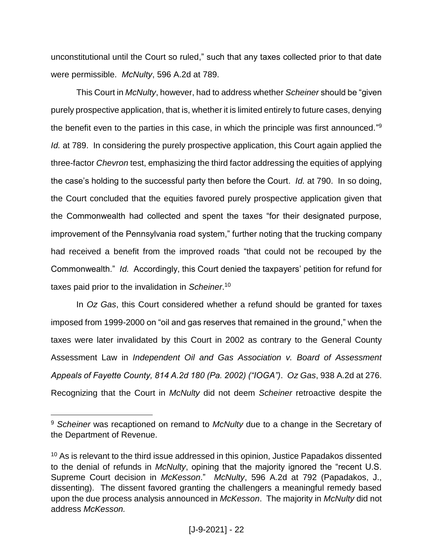unconstitutional until the Court so ruled," such that any taxes collected prior to that date were permissible. *McNulty*, 596 A.2d at 789.

This Court in *McNulty*, however, had to address whether *Scheiner* should be "given purely prospective application, that is, whether it is limited entirely to future cases, denying the benefit even to the parties in this case, in which the principle was first announced."<sup>9</sup> *Id.* at 789. In considering the purely prospective application, this Court again applied the three-factor *Chevron* test, emphasizing the third factor addressing the equities of applying the case's holding to the successful party then before the Court. *Id.* at 790. In so doing, the Court concluded that the equities favored purely prospective application given that the Commonwealth had collected and spent the taxes "for their designated purpose, improvement of the Pennsylvania road system," further noting that the trucking company had received a benefit from the improved roads "that could not be recouped by the Commonwealth." *Id.* Accordingly, this Court denied the taxpayers' petition for refund for taxes paid prior to the invalidation in *Scheiner*. 10

In *Oz Gas*, this Court considered whether a refund should be granted for taxes imposed from 1999-2000 on "oil and gas reserves that remained in the ground," when the taxes were later invalidated by this Court in 2002 as contrary to the General County Assessment Law in *Independent Oil and Gas Association v. Board of Assessment Appeals of Fayette County, 814 A.2d 180 (Pa. 2002) ("IOGA")*. *Oz Gas*, 938 A.2d at 276. Recognizing that the Court in *McNulty* did not deem *Scheiner* retroactive despite the

<sup>9</sup> *Scheiner* was recaptioned on remand to *McNulty* due to a change in the Secretary of the Department of Revenue.

<sup>&</sup>lt;sup>10</sup> As is relevant to the third issue addressed in this opinion, Justice Papadakos dissented to the denial of refunds in *McNulty*, opining that the majority ignored the "recent U.S. Supreme Court decision in *McKesson*." *McNulty*, 596 A.2d at 792 (Papadakos, J., dissenting). The dissent favored granting the challengers a meaningful remedy based upon the due process analysis announced in *McKesson*. The majority in *McNulty* did not address *McKesson.*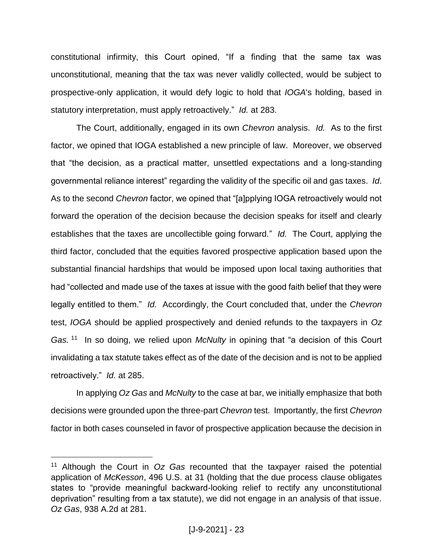constitutional infirmity, this Court opined, "If a finding that the same tax was unconstitutional, meaning that the tax was never validly collected, would be subject to prospective-only application, it would defy logic to hold that *IOGA*'s holding, based in statutory interpretation, must apply retroactively." *Id.* at 283.

The Court, additionally, engaged in its own *Chevron* analysis. *Id.* As to the first factor, we opined that IOGA established a new principle of law. Moreover, we observed that "the decision, as a practical matter, unsettled expectations and a long-standing governmental reliance interest" regarding the validity of the specific oil and gas taxes. *Id*. As to the second *Chevron* factor, we opined that "[a]pplying IOGA retroactively would not forward the operation of the decision because the decision speaks for itself and clearly establishes that the taxes are uncollectible going forward." *Id.* The Court, applying the third factor, concluded that the equities favored prospective application based upon the substantial financial hardships that would be imposed upon local taxing authorities that had "collected and made use of the taxes at issue with the good faith belief that they were legally entitled to them." *Id.* Accordingly, the Court concluded that, under the *Chevron*  test, *IOGA* should be applied prospectively and denied refunds to the taxpayers in *Oz Gas.* <sup>11</sup> In so doing, we relied upon *McNulty* in opining that "a decision of this Court invalidating a tax statute takes effect as of the date of the decision and is not to be applied retroactively." *Id.* at 285.

In applying *Oz Gas* and *McNulty* to the case at bar, we initially emphasize that both decisions were grounded upon the three-part *Chevron* test. Importantly, the first *Chevron*  factor in both cases counseled in favor of prospective application because the decision in

<sup>11</sup> Although the Court in *Oz Gas* recounted that the taxpayer raised the potential application of *McKesson*, 496 U.S. at 31 (holding that the due process clause obligates states to "provide meaningful backward-looking relief to rectify any unconstitutional deprivation" resulting from a tax statute), we did not engage in an analysis of that issue. *Oz Gas*, 938 A.2d at 281.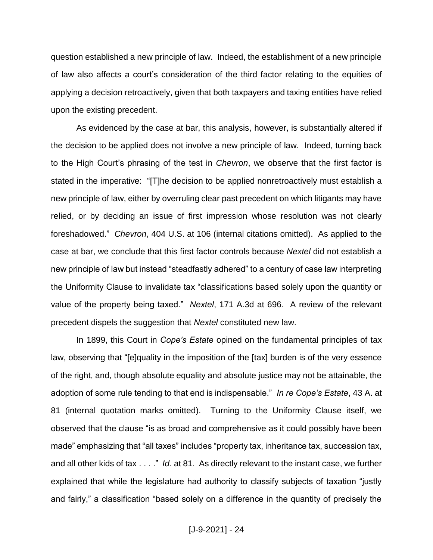question established a new principle of law. Indeed, the establishment of a new principle of law also affects a court's consideration of the third factor relating to the equities of applying a decision retroactively, given that both taxpayers and taxing entities have relied upon the existing precedent.

As evidenced by the case at bar, this analysis, however, is substantially altered if the decision to be applied does not involve a new principle of law. Indeed, turning back to the High Court's phrasing of the test in *Chevron*, we observe that the first factor is stated in the imperative: "[T]he decision to be applied nonretroactively must establish a new principle of law, either by overruling clear past precedent on which litigants may have relied, or by deciding an issue of first impression whose resolution was not clearly foreshadowed." *Chevron*, 404 U.S. at 106 (internal citations omitted). As applied to the case at bar, we conclude that this first factor controls because *Nextel* did not establish a new principle of law but instead "steadfastly adhered" to a century of case law interpreting the Uniformity Clause to invalidate tax "classifications based solely upon the quantity or value of the property being taxed." *Nextel*, 171 A.3d at 696. A review of the relevant precedent dispels the suggestion that *Nextel* constituted new law.

In 1899, this Court in *Cope's Estate* opined on the fundamental principles of tax law, observing that "[e]quality in the imposition of the [tax] burden is of the very essence of the right, and, though absolute equality and absolute justice may not be attainable, the adoption of some rule tending to that end is indispensable." *In re Cope's Estate*, 43 A. at 81 (internal quotation marks omitted). Turning to the Uniformity Clause itself, we observed that the clause "is as broad and comprehensive as it could possibly have been made" emphasizing that "all taxes" includes "property tax, inheritance tax, succession tax, and all other kids of tax . . . ." *Id.* at 81. As directly relevant to the instant case, we further explained that while the legislature had authority to classify subjects of taxation "justly and fairly," a classification "based solely on a difference in the quantity of precisely the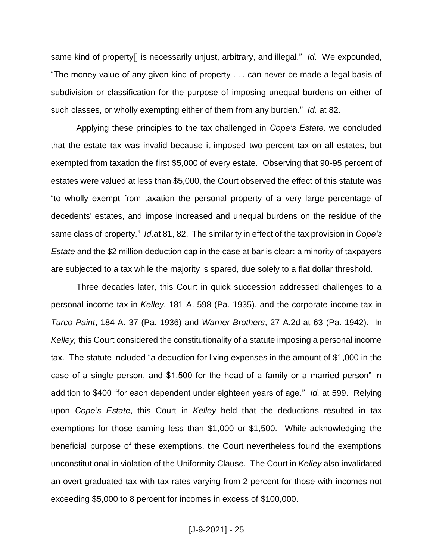same kind of property[] is necessarily unjust, arbitrary, and illegal." *Id*. We expounded, "The money value of any given kind of property . . . can never be made a legal basis of subdivision or classification for the purpose of imposing unequal burdens on either of such classes, or wholly exempting either of them from any burden." *Id.* at 82.

Applying these principles to the tax challenged in *Cope's Estate,* we concluded that the estate tax was invalid because it imposed two percent tax on all estates, but exempted from taxation the first \$5,000 of every estate. Observing that 90-95 percent of estates were valued at less than \$5,000, the Court observed the effect of this statute was "to wholly exempt from taxation the personal property of a very large percentage of decedents' estates, and impose increased and unequal burdens on the residue of the same class of property." *Id*.at 81, 82. The similarity in effect of the tax provision in *Cope's Estate* and the \$2 million deduction cap in the case at bar is clear: a minority of taxpayers are subjected to a tax while the majority is spared, due solely to a flat dollar threshold.

Three decades later, this Court in quick succession addressed challenges to a personal income tax in *Kelley*, 181 A. 598 (Pa. 1935), and the corporate income tax in *Turco Paint*, 184 A. 37 (Pa. 1936) and *Warner Brothers*, 27 A.2d at 63 (Pa. 1942). In *Kelley,* this Court considered the constitutionality of a statute imposing a personal income tax. The statute included "a deduction for living expenses in the amount of \$1,000 in the case of a single person, and \$1,500 for the head of a family or a married person" in addition to \$400 "for each dependent under eighteen years of age." *Id.* at 599. Relying upon *Cope's Estate*, this Court in *Kelley* held that the deductions resulted in tax exemptions for those earning less than \$1,000 or \$1,500. While acknowledging the beneficial purpose of these exemptions, the Court nevertheless found the exemptions unconstitutional in violation of the Uniformity Clause. The Court in *Kelley* also invalidated an overt graduated tax with tax rates varying from 2 percent for those with incomes not exceeding \$5,000 to 8 percent for incomes in excess of \$100,000.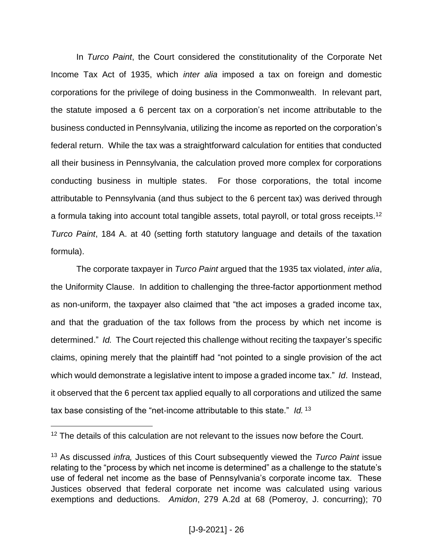In *Turco Paint*, the Court considered the constitutionality of the Corporate Net Income Tax Act of 1935, which *inter alia* imposed a tax on foreign and domestic corporations for the privilege of doing business in the Commonwealth. In relevant part, the statute imposed a 6 percent tax on a corporation's net income attributable to the business conducted in Pennsylvania, utilizing the income as reported on the corporation's federal return. While the tax was a straightforward calculation for entities that conducted all their business in Pennsylvania, the calculation proved more complex for corporations conducting business in multiple states. For those corporations, the total income attributable to Pennsylvania (and thus subject to the 6 percent tax) was derived through a formula taking into account total tangible assets, total payroll, or total gross receipts.<sup>12</sup> *Turco Paint*, 184 A. at 40 (setting forth statutory language and details of the taxation formula).

The corporate taxpayer in *Turco Paint* argued that the 1935 tax violated, *inter alia*, the Uniformity Clause. In addition to challenging the three-factor apportionment method as non-uniform, the taxpayer also claimed that "the act imposes a graded income tax, and that the graduation of the tax follows from the process by which net income is determined." *Id.* The Court rejected this challenge without reciting the taxpayer's specific claims, opining merely that the plaintiff had "not pointed to a single provision of the act which would demonstrate a legislative intent to impose a graded income tax." *Id*. Instead, it observed that the 6 percent tax applied equally to all corporations and utilized the same tax base consisting of the "net-income attributable to this state." *Id.* <sup>13</sup>

<sup>&</sup>lt;sup>12</sup> The details of this calculation are not relevant to the issues now before the Court.

<sup>13</sup> As discussed *infra,* Justices of this Court subsequently viewed the *Turco Paint* issue relating to the "process by which net income is determined" as a challenge to the statute's use of federal net income as the base of Pennsylvania's corporate income tax. These Justices observed that federal corporate net income was calculated using various exemptions and deductions. *Amidon*, 279 A.2d at 68 (Pomeroy, J. concurring); 70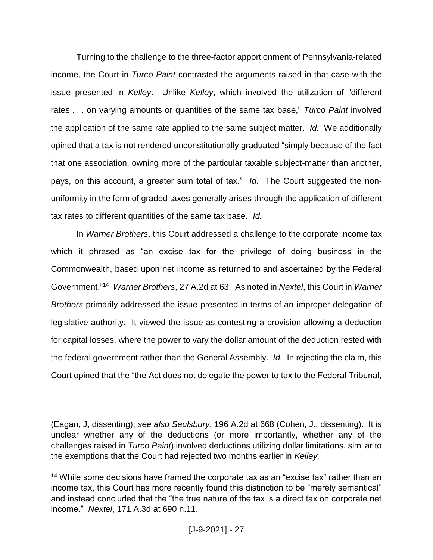Turning to the challenge to the three-factor apportionment of Pennsylvania-related income, the Court in *Turco Paint* contrasted the arguments raised in that case with the issue presented in *Kelley*. Unlike *Kelley*, which involved the utilization of "different rates . . . on varying amounts or quantities of the same tax base," *Turco Paint* involved the application of the same rate applied to the same subject matter. *Id.* We additionally opined that a tax is not rendered unconstitutionally graduated "simply because of the fact that one association, owning more of the particular taxable subject-matter than another, pays, on this account, a greater sum total of tax." *Id.* The Court suggested the nonuniformity in the form of graded taxes generally arises through the application of different tax rates to different quantities of the same tax base. *Id.*

In *Warner Brothers*, this Court addressed a challenge to the corporate income tax which it phrased as "an excise tax for the privilege of doing business in the Commonwealth, based upon net income as returned to and ascertained by the Federal Government."<sup>14</sup> *Warner Brothers*, 27 A.2d at 63. As noted in *Nextel*, this Court in *Warner Brothers* primarily addressed the issue presented in terms of an improper delegation of legislative authority. It viewed the issue as contesting a provision allowing a deduction for capital losses, where the power to vary the dollar amount of the deduction rested with the federal government rather than the General Assembly. *Id.* In rejecting the claim, this Court opined that the "the Act does not delegate the power to tax to the Federal Tribunal,

<sup>(</sup>Eagan, J, dissenting); *see also Saulsbury*, 196 A.2d at 668 (Cohen, J., dissenting). It is unclear whether any of the deductions (or more importantly, whether any of the challenges raised in *Turco Paint*) involved deductions utilizing dollar limitations, similar to the exemptions that the Court had rejected two months earlier in *Kelley.* 

<sup>&</sup>lt;sup>14</sup> While some decisions have framed the corporate tax as an "excise tax" rather than an income tax, this Court has more recently found this distinction to be "merely semantical" and instead concluded that the "the true nature of the tax is a direct tax on corporate net income." *Nextel*, 171 A.3d at 690 n.11.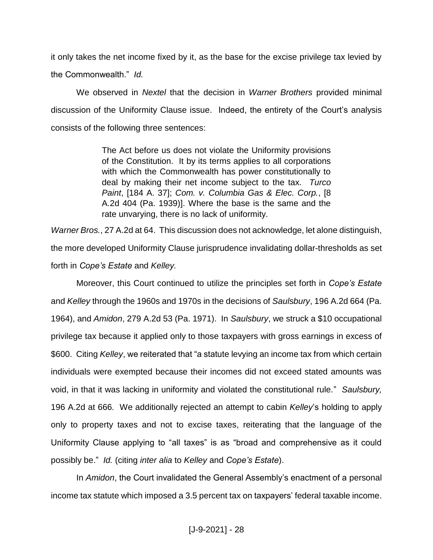it only takes the net income fixed by it, as the base for the excise privilege tax levied by the Commonwealth." *Id.*

We observed in *Nextel* that the decision in *Warner Brothers* provided minimal discussion of the Uniformity Clause issue. Indeed, the entirety of the Court's analysis consists of the following three sentences:

> The Act before us does not violate the Uniformity provisions of the Constitution. It by its terms applies to all corporations with which the Commonwealth has power constitutionally to deal by making their net income subject to the tax. *Turco Paint*, [184 A. 37]; *Com. v. Columbia Gas & Elec. Corp.*, [8 A.2d 404 (Pa. 1939)]. Where the base is the same and the rate unvarying, there is no lack of uniformity.

*Warner Bros.*, 27 A.2d at 64. This discussion does not acknowledge, let alone distinguish, the more developed Uniformity Clause jurisprudence invalidating dollar-thresholds as set forth in *Cope's Estate* and *Kelley.*

Moreover, this Court continued to utilize the principles set forth in *Cope's Estate* and *Kelley* through the 1960s and 1970s in the decisions of *Saulsbury*, 196 A.2d 664 (Pa. 1964), and *Amidon*, 279 A.2d 53 (Pa. 1971). In *Saulsbury*, we struck a \$10 occupational privilege tax because it applied only to those taxpayers with gross earnings in excess of \$600. Citing *Kelley*, we reiterated that "a statute levying an income tax from which certain individuals were exempted because their incomes did not exceed stated amounts was void, in that it was lacking in uniformity and violated the constitutional rule*.*" *Saulsbury,*  196 A.2d at 666*.* We additionally rejected an attempt to cabin *Kelley*'s holding to apply only to property taxes and not to excise taxes, reiterating that the language of the Uniformity Clause applying to "all taxes" is as "broad and comprehensive as it could possibly be." *Id.* (citing *inter alia* to *Kelley* and *Cope's Estate*).

In *Amidon*, the Court invalidated the General Assembly's enactment of a personal income tax statute which imposed a 3.5 percent tax on taxpayers' federal taxable income.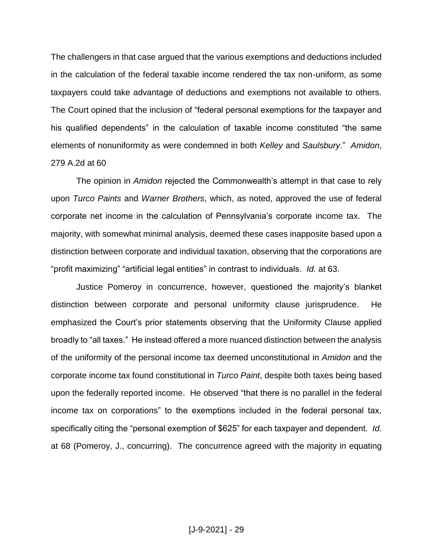The challengers in that case argued that the various exemptions and deductions included in the calculation of the federal taxable income rendered the tax non-uniform, as some taxpayers could take advantage of deductions and exemptions not available to others. The Court opined that the inclusion of "federal personal exemptions for the taxpayer and his qualified dependents" in the calculation of taxable income constituted "the same elements of nonuniformity as were condemned in both *Kelley* and *Saulsbury*." *Amidon*, 279 A.2d at 60

The opinion in *Amidon* rejected the Commonwealth's attempt in that case to rely upon *Turco Paints* and *Warner Brothers*, which, as noted, approved the use of federal corporate net income in the calculation of Pennsylvania's corporate income tax. The majority, with somewhat minimal analysis, deemed these cases inapposite based upon a distinction between corporate and individual taxation, observing that the corporations are "profit maximizing" "artificial legal entities" in contrast to individuals. *Id.* at 63.

Justice Pomeroy in concurrence, however, questioned the majority's blanket distinction between corporate and personal uniformity clause jurisprudence. He emphasized the Court's prior statements observing that the Uniformity Clause applied broadly to "all taxes." He instead offered a more nuanced distinction between the analysis of the uniformity of the personal income tax deemed unconstitutional in *Amidon* and the corporate income tax found constitutional in *Turco Paint*, despite both taxes being based upon the federally reported income. He observed "that there is no parallel in the federal income tax on corporations" to the exemptions included in the federal personal tax, specifically citing the "personal exemption of \$625" for each taxpayer and dependent. *Id.* at 68 (Pomeroy, J., concurring). The concurrence agreed with the majority in equating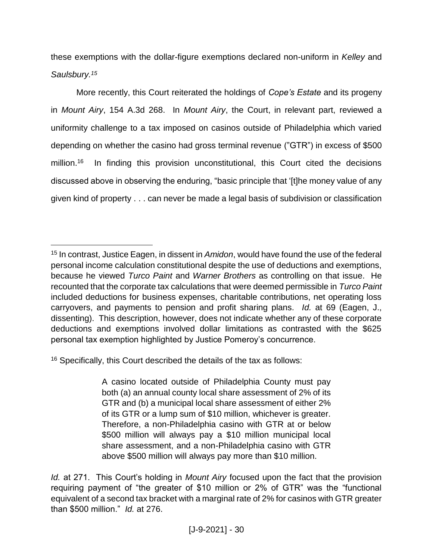these exemptions with the dollar-figure exemptions declared non-uniform in *Kelley* and *Saulsbury.<sup>15</sup>*

More recently, this Court reiterated the holdings of *Cope's Estate* and its progeny in *Mount Airy*, 154 A.3d 268. In *Mount Airy*, the Court, in relevant part, reviewed a uniformity challenge to a tax imposed on casinos outside of Philadelphia which varied depending on whether the casino had gross terminal revenue ("GTR") in excess of \$500 million.<sup>16</sup> In finding this provision unconstitutional, this Court cited the decisions discussed above in observing the enduring, "basic principle that '[t]he money value of any given kind of property . . . can never be made a legal basis of subdivision or classification

<sup>16</sup> Specifically, this Court described the details of the tax as follows:

 $\overline{a}$ 

A casino located outside of Philadelphia County must pay both (a) an annual county local share assessment of 2% of its GTR and (b) a municipal local share assessment of either 2% of its GTR or a lump sum of \$10 million, whichever is greater. Therefore, a non-Philadelphia casino with GTR at or below \$500 million will always pay a \$10 million municipal local share assessment, and a non-Philadelphia casino with GTR above \$500 million will always pay more than \$10 million.

<sup>15</sup> In contrast, Justice Eagen, in dissent in *Amidon*, would have found the use of the federal personal income calculation constitutional despite the use of deductions and exemptions, because he viewed *Turco Paint* and *Warner Brothers* as controlling on that issue. He recounted that the corporate tax calculations that were deemed permissible in *Turco Paint* included deductions for business expenses, charitable contributions, net operating loss carryovers, and payments to pension and profit sharing plans. *Id.* at 69 (Eagen, J., dissenting). This description, however, does not indicate whether any of these corporate deductions and exemptions involved dollar limitations as contrasted with the \$625 personal tax exemption highlighted by Justice Pomeroy's concurrence.

*Id.* at 271. This Court's holding in *Mount Airy* focused upon the fact that the provision requiring payment of "the greater of \$10 million or 2% of GTR" was the "functional equivalent of a second tax bracket with a marginal rate of 2% for casinos with GTR greater than \$500 million." *Id.* at 276.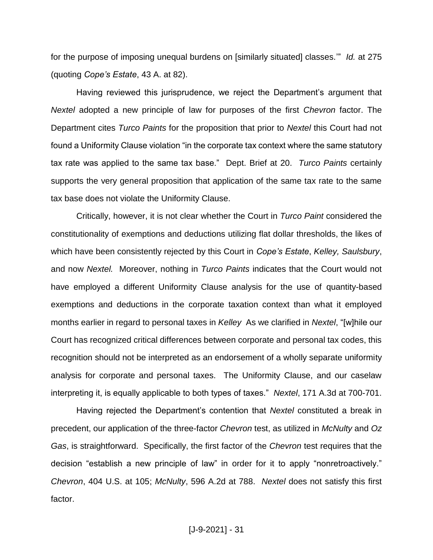for the purpose of imposing unequal burdens on [similarly situated] classes.'" *Id.* at 275 (quoting *Cope's Estate*, 43 A. at 82).

Having reviewed this jurisprudence, we reject the Department's argument that *Nextel* adopted a new principle of law for purposes of the first *Chevron* factor. The Department cites *Turco Paints* for the proposition that prior to *Nextel* this Court had not found a Uniformity Clause violation "in the corporate tax context where the same statutory tax rate was applied to the same tax base." Dept. Brief at 20. *Turco Paints* certainly supports the very general proposition that application of the same tax rate to the same tax base does not violate the Uniformity Clause.

Critically, however, it is not clear whether the Court in *Turco Paint* considered the constitutionality of exemptions and deductions utilizing flat dollar thresholds, the likes of which have been consistently rejected by this Court in *Cope's Estate*, *Kelley, Saulsbury*, and now *Nextel.* Moreover, nothing in *Turco Paints* indicates that the Court would not have employed a different Uniformity Clause analysis for the use of quantity-based exemptions and deductions in the corporate taxation context than what it employed months earlier in regard to personal taxes in *Kelley* As we clarified in *Nextel*, "[w]hile our Court has recognized critical differences between corporate and personal tax codes, this recognition should not be interpreted as an endorsement of a wholly separate uniformity analysis for corporate and personal taxes. The Uniformity Clause, and our caselaw interpreting it, is equally applicable to both types of taxes." *Nextel*, 171 A.3d at 700-701.

Having rejected the Department's contention that *Nextel* constituted a break in precedent, our application of the three-factor *Chevron* test, as utilized in *McNulty* and *Oz Gas*, is straightforward. Specifically, the first factor of the *Chevron* test requires that the decision "establish a new principle of law" in order for it to apply "nonretroactively." *Chevron*, 404 U.S. at 105; *McNulty*, 596 A.2d at 788. *Nextel* does not satisfy this first factor.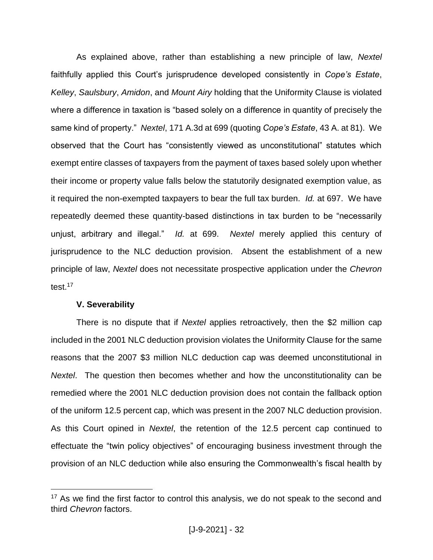As explained above, rather than establishing a new principle of law, *Nextel* faithfully applied this Court's jurisprudence developed consistently in *Cope's Estate*, *Kelley*, *Saulsbury*, *Amidon*, and *Mount Airy* holding that the Uniformity Clause is violated where a difference in taxation is "based solely on a difference in quantity of precisely the same kind of property." *Nextel*, 171 A.3d at 699 (quoting *Cope's Estate*, 43 A. at 81). We observed that the Court has "consistently viewed as unconstitutional" statutes which exempt entire classes of taxpayers from the payment of taxes based solely upon whether their income or property value falls below the statutorily designated exemption value, as it required the non-exempted taxpayers to bear the full tax burden. *Id.* at 697. We have repeatedly deemed these quantity-based distinctions in tax burden to be "necessarily unjust, arbitrary and illegal." *Id.* at 699. *Nextel* merely applied this century of jurisprudence to the NLC deduction provision. Absent the establishment of a new principle of law, *Nextel* does not necessitate prospective application under the *Chevron*  test. 17

#### **V. Severability**

 $\overline{a}$ 

There is no dispute that if *Nextel* applies retroactively, then the \$2 million cap included in the 2001 NLC deduction provision violates the Uniformity Clause for the same reasons that the 2007 \$3 million NLC deduction cap was deemed unconstitutional in *Nextel*. The question then becomes whether and how the unconstitutionality can be remedied where the 2001 NLC deduction provision does not contain the fallback option of the uniform 12.5 percent cap, which was present in the 2007 NLC deduction provision. As this Court opined in *Nextel*, the retention of the 12.5 percent cap continued to effectuate the "twin policy objectives" of encouraging business investment through the provision of an NLC deduction while also ensuring the Commonwealth's fiscal health by

<sup>&</sup>lt;sup>17</sup> As we find the first factor to control this analysis, we do not speak to the second and third *Chevron* factors.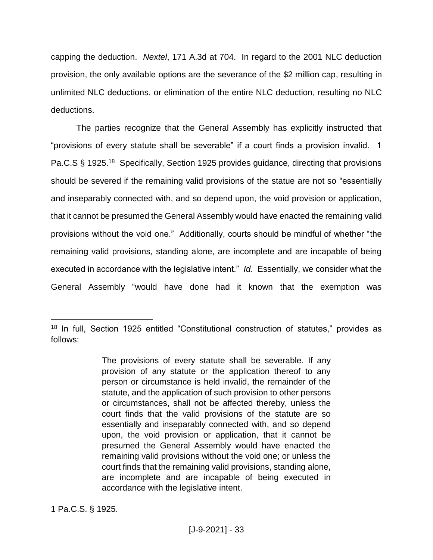capping the deduction. *Nextel*, 171 A.3d at 704. In regard to the 2001 NLC deduction provision, the only available options are the severance of the \$2 million cap, resulting in unlimited NLC deductions, or elimination of the entire NLC deduction, resulting no NLC deductions.

The parties recognize that the General Assembly has explicitly instructed that "provisions of every statute shall be severable" if a court finds a provision invalid. 1 Pa.C.S § 1925.<sup>18</sup> Specifically, Section 1925 provides guidance, directing that provisions should be severed if the remaining valid provisions of the statue are not so "essentially and inseparably connected with, and so depend upon, the void provision or application, that it cannot be presumed the General Assembly would have enacted the remaining valid provisions without the void one." Additionally, courts should be mindful of whether "the remaining valid provisions, standing alone, are incomplete and are incapable of being executed in accordance with the legislative intent." *Id.* Essentially, we consider what the General Assembly "would have done had it known that the exemption was

<sup>&</sup>lt;sup>18</sup> In full, Section 1925 entitled "Constitutional construction of statutes," provides as follows:

The provisions of every statute shall be severable. If any provision of any statute or the application thereof to any person or circumstance is held invalid, the remainder of the statute, and the application of such provision to other persons or circumstances, shall not be affected thereby, unless the court finds that the valid provisions of the statute are so essentially and inseparably connected with, and so depend upon, the void provision or application, that it cannot be presumed the General Assembly would have enacted the remaining valid provisions without the void one; or unless the court finds that the remaining valid provisions, standing alone, are incomplete and are incapable of being executed in accordance with the legislative intent.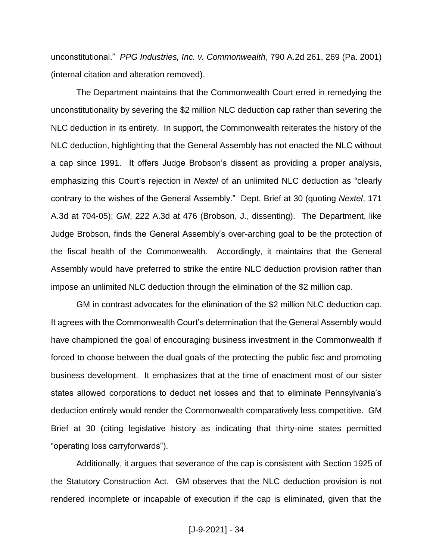unconstitutional." *PPG Industries, Inc. v. Commonwealth*, 790 A.2d 261, 269 (Pa. 2001) (internal citation and alteration removed).

The Department maintains that the Commonwealth Court erred in remedying the unconstitutionality by severing the \$2 million NLC deduction cap rather than severing the NLC deduction in its entirety. In support, the Commonwealth reiterates the history of the NLC deduction, highlighting that the General Assembly has not enacted the NLC without a cap since 1991. It offers Judge Brobson's dissent as providing a proper analysis, emphasizing this Court's rejection in *Nextel* of an unlimited NLC deduction as "clearly contrary to the wishes of the General Assembly." Dept. Brief at 30 (quoting *Nextel*, 171 A.3d at 704-05); *GM*, 222 A.3d at 476 (Brobson, J., dissenting). The Department, like Judge Brobson, finds the General Assembly's over-arching goal to be the protection of the fiscal health of the Commonwealth*.* Accordingly, it maintains that the General Assembly would have preferred to strike the entire NLC deduction provision rather than impose an unlimited NLC deduction through the elimination of the \$2 million cap.

GM in contrast advocates for the elimination of the \$2 million NLC deduction cap. It agrees with the Commonwealth Court's determination that the General Assembly would have championed the goal of encouraging business investment in the Commonwealth if forced to choose between the dual goals of the protecting the public fisc and promoting business development. It emphasizes that at the time of enactment most of our sister states allowed corporations to deduct net losses and that to eliminate Pennsylvania's deduction entirely would render the Commonwealth comparatively less competitive. GM Brief at 30 (citing legislative history as indicating that thirty-nine states permitted "operating loss carryforwards").

Additionally, it argues that severance of the cap is consistent with Section 1925 of the Statutory Construction Act. GM observes that the NLC deduction provision is not rendered incomplete or incapable of execution if the cap is eliminated, given that the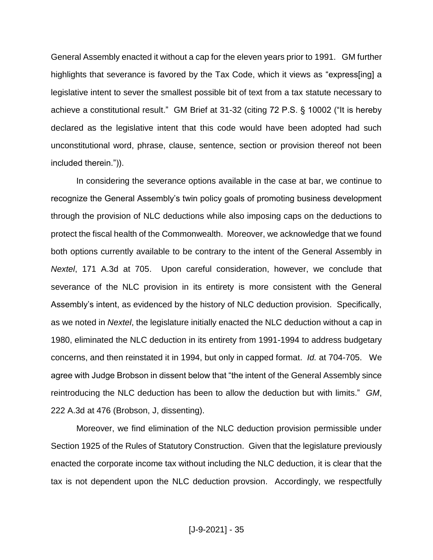General Assembly enacted it without a cap for the eleven years prior to 1991. GM further highlights that severance is favored by the Tax Code, which it views as "express[ing] a legislative intent to sever the smallest possible bit of text from a tax statute necessary to achieve a constitutional result." GM Brief at 31-32 (citing 72 P.S. § 10002 ("It is hereby declared as the legislative intent that this code would have been adopted had such unconstitutional word, phrase, clause, sentence, section or provision thereof not been included therein.")).

In considering the severance options available in the case at bar, we continue to recognize the General Assembly's twin policy goals of promoting business development through the provision of NLC deductions while also imposing caps on the deductions to protect the fiscal health of the Commonwealth. Moreover, we acknowledge that we found both options currently available to be contrary to the intent of the General Assembly in *Nextel*, 171 A.3d at 705. Upon careful consideration, however, we conclude that severance of the NLC provision in its entirety is more consistent with the General Assembly's intent, as evidenced by the history of NLC deduction provision. Specifically, as we noted in *Nextel*, the legislature initially enacted the NLC deduction without a cap in 1980, eliminated the NLC deduction in its entirety from 1991-1994 to address budgetary concerns, and then reinstated it in 1994, but only in capped format. *Id.* at 704-705. We agree with Judge Brobson in dissent below that "the intent of the General Assembly since reintroducing the NLC deduction has been to allow the deduction but with limits." *GM*, 222 A.3d at 476 (Brobson, J, dissenting).

Moreover, we find elimination of the NLC deduction provision permissible under Section 1925 of the Rules of Statutory Construction. Given that the legislature previously enacted the corporate income tax without including the NLC deduction, it is clear that the tax is not dependent upon the NLC deduction provsion. Accordingly, we respectfully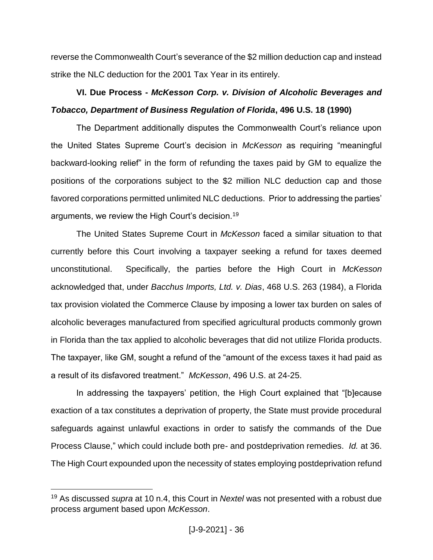reverse the Commonwealth Court's severance of the \$2 million deduction cap and instead strike the NLC deduction for the 2001 Tax Year in its entirely.

# **VI. Due Process -** *McKesson Corp. v. Division of Alcoholic Beverages and Tobacco, Department of Business Regulation of Florida***, 496 U.S. 18 (1990)**

The Department additionally disputes the Commonwealth Court's reliance upon the United States Supreme Court's decision in *McKesson* as requiring "meaningful backward-looking relief" in the form of refunding the taxes paid by GM to equalize the positions of the corporations subject to the \$2 million NLC deduction cap and those favored corporations permitted unlimited NLC deductions. Prior to addressing the parties' arguments, we review the High Court's decision.<sup>19</sup>

The United States Supreme Court in *McKesson* faced a similar situation to that currently before this Court involving a taxpayer seeking a refund for taxes deemed unconstitutional. Specifically, the parties before the High Court in *McKesson*  acknowledged that, under *Bacchus Imports, Ltd. v. Dias*, 468 U.S. 263 (1984), a Florida tax provision violated the Commerce Clause by imposing a lower tax burden on sales of alcoholic beverages manufactured from specified agricultural products commonly grown in Florida than the tax applied to alcoholic beverages that did not utilize Florida products. The taxpayer, like GM, sought a refund of the "amount of the excess taxes it had paid as a result of its disfavored treatment." *McKesson*, 496 U.S. at 24-25.

In addressing the taxpayers' petition, the High Court explained that "[b]ecause exaction of a tax constitutes a deprivation of property, the State must provide procedural safeguards against unlawful exactions in order to satisfy the commands of the Due Process Clause," which could include both pre- and postdeprivation remedies. *Id.* at 36. The High Court expounded upon the necessity of states employing postdeprivation refund

<sup>19</sup> As discussed *supra* at 10 n.4, this Court in *Nextel* was not presented with a robust due process argument based upon *McKesson*.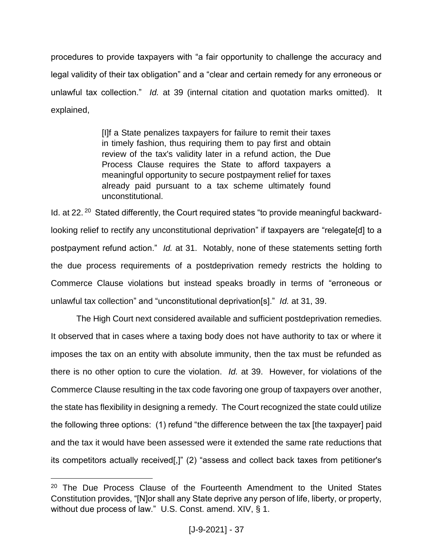procedures to provide taxpayers with "a fair opportunity to challenge the accuracy and legal validity of their tax obligation" and a "clear and certain remedy for any erroneous or unlawful tax collection." *Id.* at 39 (internal citation and quotation marks omitted). It explained,

> [I]f a State penalizes taxpayers for failure to remit their taxes in timely fashion, thus requiring them to pay first and obtain review of the tax's validity later in a refund action, the Due Process Clause requires the State to afford taxpayers a meaningful opportunity to secure postpayment relief for taxes already paid pursuant to a tax scheme ultimately found unconstitutional.

Id. at 22.<sup>20</sup> Stated differently, the Court required states "to provide meaningful backwardlooking relief to rectify any unconstitutional deprivation" if taxpayers are "relegate[d] to a postpayment refund action." *Id.* at 31. Notably, none of these statements setting forth the due process requirements of a postdeprivation remedy restricts the holding to Commerce Clause violations but instead speaks broadly in terms of "erroneous or unlawful tax collection" and "unconstitutional deprivation[s]." *Id.* at 31, 39.

The High Court next considered available and sufficient postdeprivation remedies. It observed that in cases where a taxing body does not have authority to tax or where it imposes the tax on an entity with absolute immunity, then the tax must be refunded as there is no other option to cure the violation. *Id.* at 39. However, for violations of the Commerce Clause resulting in the tax code favoring one group of taxpayers over another, the state has flexibility in designing a remedy. The Court recognized the state could utilize the following three options: (1) refund "the difference between the tax [the taxpayer] paid and the tax it would have been assessed were it extended the same rate reductions that its competitors actually received[,]" (2) "assess and collect back taxes from petitioner's

<sup>&</sup>lt;sup>20</sup> The Due Process Clause of the Fourteenth Amendment to the United States Constitution provides, "[N]or shall any State deprive any person of life, liberty, or property, without due process of law." U.S. Const. amend. XIV, § 1.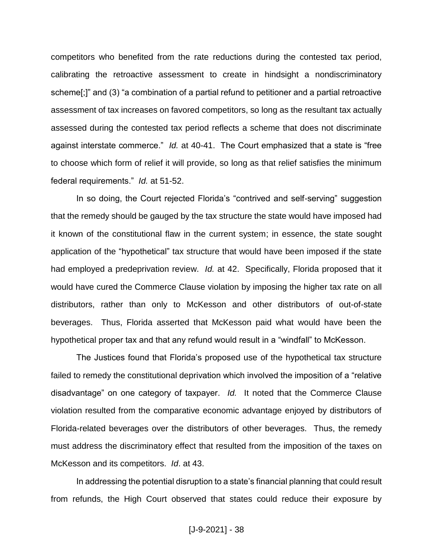competitors who benefited from the rate reductions during the contested tax period, calibrating the retroactive assessment to create in hindsight a nondiscriminatory scheme[;]" and (3) "a combination of a partial refund to petitioner and a partial retroactive assessment of tax increases on favored competitors, so long as the resultant tax actually assessed during the contested tax period reflects a scheme that does not discriminate against interstate commerce." *Id.* at 40-41. The Court emphasized that a state is "free to choose which form of relief it will provide, so long as that relief satisfies the minimum federal requirements." *Id.* at 51-52.

In so doing, the Court rejected Florida's "contrived and self-serving" suggestion that the remedy should be gauged by the tax structure the state would have imposed had it known of the constitutional flaw in the current system; in essence, the state sought application of the "hypothetical" tax structure that would have been imposed if the state had employed a predeprivation review. *Id.* at 42. Specifically, Florida proposed that it would have cured the Commerce Clause violation by imposing the higher tax rate on all distributors, rather than only to McKesson and other distributors of out-of-state beverages. Thus, Florida asserted that McKesson paid what would have been the hypothetical proper tax and that any refund would result in a "windfall" to McKesson.

The Justices found that Florida's proposed use of the hypothetical tax structure failed to remedy the constitutional deprivation which involved the imposition of a "relative disadvantage" on one category of taxpayer. *Id.* It noted that the Commerce Clause violation resulted from the comparative economic advantage enjoyed by distributors of Florida-related beverages over the distributors of other beverages. Thus, the remedy must address the discriminatory effect that resulted from the imposition of the taxes on McKesson and its competitors. *Id*. at 43.

In addressing the potential disruption to a state's financial planning that could result from refunds, the High Court observed that states could reduce their exposure by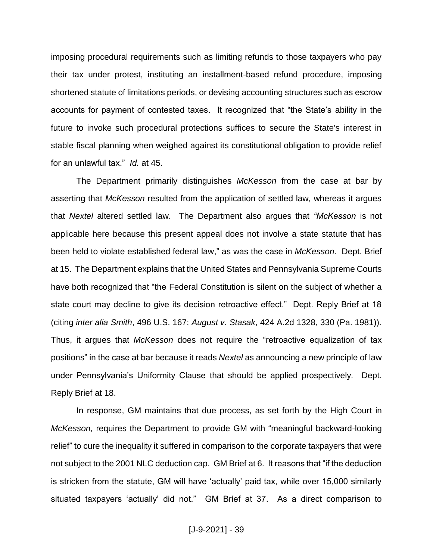imposing procedural requirements such as limiting refunds to those taxpayers who pay their tax under protest, instituting an installment-based refund procedure, imposing shortened statute of limitations periods, or devising accounting structures such as escrow accounts for payment of contested taxes. It recognized that "the State's ability in the future to invoke such procedural protections suffices to secure the State's interest in stable fiscal planning when weighed against its constitutional obligation to provide relief for an unlawful tax." *Id.* at 45.

The Department primarily distinguishes *McKesson* from the case at bar by asserting that *McKesson* resulted from the application of settled law, whereas it argues that *Nextel* altered settled law. The Department also argues that *"McKesson* is not applicable here because this present appeal does not involve a state statute that has been held to violate established federal law," as was the case in *McKesson*. Dept. Brief at 15. The Department explains that the United States and Pennsylvania Supreme Courts have both recognized that "the Federal Constitution is silent on the subject of whether a state court may decline to give its decision retroactive effect." Dept. Reply Brief at 18 (citing *inter alia Smith*, 496 U.S. 167; *August v. Stasak*, 424 A.2d 1328, 330 (Pa. 1981))*.* Thus, it argues that *McKesson* does not require the "retroactive equalization of tax positions" in the case at bar because it reads *Nextel* as announcing a new principle of law under Pennsylvania's Uniformity Clause that should be applied prospectively*.* Dept. Reply Brief at 18.

In response, GM maintains that due process, as set forth by the High Court in *McKesson,* requires the Department to provide GM with "meaningful backward-looking relief" to cure the inequality it suffered in comparison to the corporate taxpayers that were not subject to the 2001 NLC deduction cap. GM Brief at 6. It reasons that "if the deduction is stricken from the statute, GM will have 'actually' paid tax, while over 15,000 similarly situated taxpayers 'actually' did not." GM Brief at 37. As a direct comparison to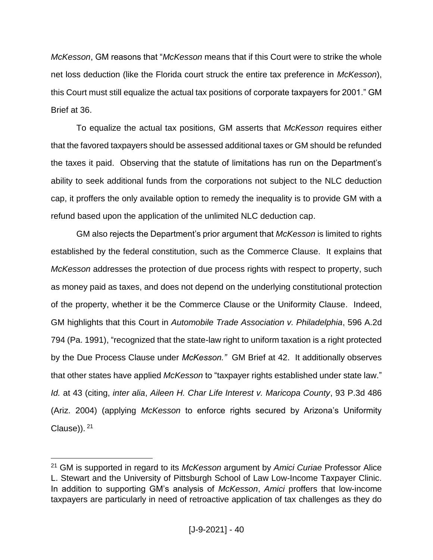*McKesson*, GM reasons that "*McKesson* means that if this Court were to strike the whole net loss deduction (like the Florida court struck the entire tax preference in *McKesson*), this Court must still equalize the actual tax positions of corporate taxpayers for 2001." GM Brief at 36.

To equalize the actual tax positions, GM asserts that *McKesson* requires either that the favored taxpayers should be assessed additional taxes or GM should be refunded the taxes it paid. Observing that the statute of limitations has run on the Department's ability to seek additional funds from the corporations not subject to the NLC deduction cap, it proffers the only available option to remedy the inequality is to provide GM with a refund based upon the application of the unlimited NLC deduction cap.

GM also rejects the Department's prior argument that *McKesson* is limited to rights established by the federal constitution, such as the Commerce Clause. It explains that *McKesson* addresses the protection of due process rights with respect to property, such as money paid as taxes, and does not depend on the underlying constitutional protection of the property, whether it be the Commerce Clause or the Uniformity Clause. Indeed, GM highlights that this Court in *Automobile Trade Association v. Philadelphia*, 596 A.2d 794 (Pa. 1991), "recognized that the state-law right to uniform taxation is a right protected by the Due Process Clause under *McKesson."* GM Brief at 42. It additionally observes that other states have applied *McKesson* to "taxpayer rights established under state law." *Id.* at 43 (citing, *inter alia*, *Aileen H. Char Life Interest v. Maricopa County*, 93 P.3d 486 (Ariz. 2004) (applying *McKesson* to enforce rights secured by Arizona's Uniformity Clause)). <sup>21</sup>

<sup>21</sup> GM is supported in regard to its *McKesson* argument by *Amici Curiae* Professor Alice L. Stewart and the University of Pittsburgh School of Law Low-Income Taxpayer Clinic. In addition to supporting GM's analysis of *McKesson*, *Amici* proffers that low-income taxpayers are particularly in need of retroactive application of tax challenges as they do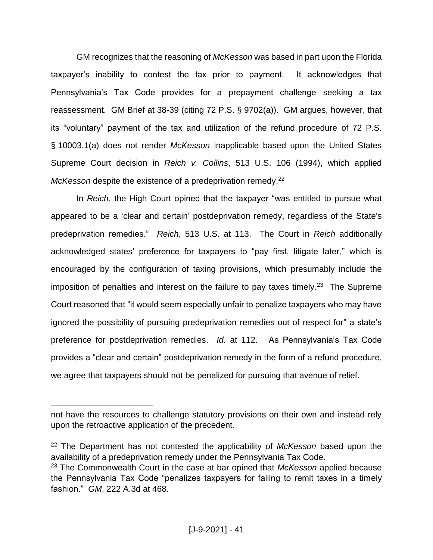GM recognizes that the reasoning of *McKesson* was based in part upon the Florida taxpayer's inability to contest the tax prior to payment. It acknowledges that Pennsylvania's Tax Code provides for a prepayment challenge seeking a tax reassessment. GM Brief at 38-39 (citing 72 P.S. § 9702(a)). GM argues, however, that its "voluntary" payment of the tax and utilization of the refund procedure of 72 P.S. § 10003.1(a) does not render *McKesson* inapplicable based upon the United States Supreme Court decision in *Reich v. Collins*, 513 U.S. 106 (1994), which applied McKesson despite the existence of a predeprivation remedy.<sup>22</sup>

In *Reich*, the High Court opined that the taxpayer "was entitled to pursue what appeared to be a 'clear and certain' postdeprivation remedy, regardless of the State's predeprivation remedies." *Reich*, 513 U.S. at 113. The Court in *Reich* additionally acknowledged states' preference for taxpayers to "pay first, litigate later," which is encouraged by the configuration of taxing provisions, which presumably include the imposition of penalties and interest on the failure to pay taxes timely.<sup>23</sup> The Supreme Court reasoned that "it would seem especially unfair to penalize taxpayers who may have ignored the possibility of pursuing predeprivation remedies out of respect for" a state's preference for postdeprivation remedies. *Id.* at 112. As Pennsylvania's Tax Code provides a "clear and certain" postdeprivation remedy in the form of a refund procedure, we agree that taxpayers should not be penalized for pursuing that avenue of relief.

not have the resources to challenge statutory provisions on their own and instead rely upon the retroactive application of the precedent.

<sup>22</sup> The Department has not contested the applicability of *McKesson* based upon the availability of a predeprivation remedy under the Pennsylvania Tax Code.

<sup>23</sup> The Commonwealth Court in the case at bar opined that *McKesson* applied because the Pennsylvania Tax Code "penalizes taxpayers for failing to remit taxes in a timely fashion." *GM*, 222 A.3d at 468.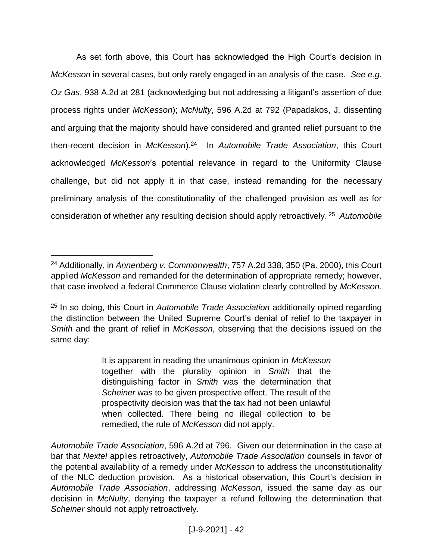As set forth above, this Court has acknowledged the High Court's decision in *McKesson* in several cases, but only rarely engaged in an analysis of the case. *See e.g. Oz Gas*, 938 A.2d at 281 (acknowledging but not addressing a litigant's assertion of due process rights under *McKesson*); *McNulty*, 596 A.2d at 792 (Papadakos, J, dissenting and arguing that the majority should have considered and granted relief pursuant to the then-recent decision in *McKesson*).<sup>24</sup> In *Automobile Trade Association*, this Court acknowledged *McKesson*'s potential relevance in regard to the Uniformity Clause challenge, but did not apply it in that case, instead remanding for the necessary preliminary analysis of the constitutionality of the challenged provision as well as for consideration of whether any resulting decision should apply retroactively. 25 *Automobile* 

 $\overline{a}$ 

It is apparent in reading the unanimous opinion in *McKesson* together with the plurality opinion in *Smith* that the distinguishing factor in *Smith* was the determination that *Scheiner* was to be given prospective effect. The result of the prospectivity decision was that the tax had not been unlawful when collected. There being no illegal collection to be remedied, the rule of *McKesson* did not apply.

<sup>24</sup> Additionally, in *Annenberg v. Commonwealth*, 757 A.2d 338, 350 (Pa. 2000), this Court applied *McKesson* and remanded for the determination of appropriate remedy; however, that case involved a federal Commerce Clause violation clearly controlled by *McKesson*.

<sup>25</sup> In so doing, this Court in *Automobile Trade Association* additionally opined regarding the distinction between the United Supreme Court's denial of relief to the taxpayer in *Smith* and the grant of relief in *McKesson*, observing that the decisions issued on the same day:

*Automobile Trade Association*, 596 A.2d at 796. Given our determination in the case at bar that *Nextel* applies retroactively, *Automobile Trade Association* counsels in favor of the potential availability of a remedy under *McKesson* to address the unconstitutionality of the NLC deduction provision*.* As a historical observation, this Court's decision in *Automobile Trade Association*, addressing *McKesson*, issued the same day as our decision in *McNulty*, denying the taxpayer a refund following the determination that *Scheiner* should not apply retroactively.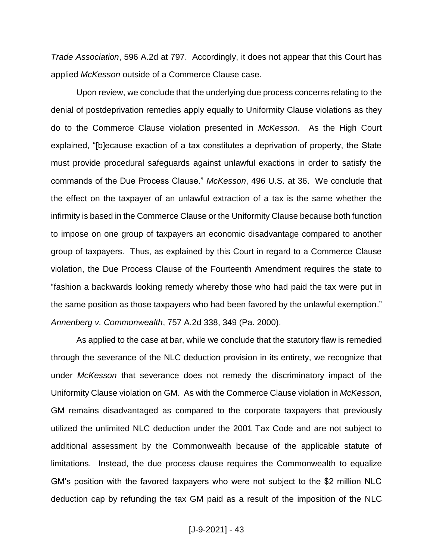*Trade Association*, 596 A.2d at 797. Accordingly, it does not appear that this Court has applied *McKesson* outside of a Commerce Clause case.

Upon review, we conclude that the underlying due process concerns relating to the denial of postdeprivation remedies apply equally to Uniformity Clause violations as they do to the Commerce Clause violation presented in *McKesson*. As the High Court explained, "[b]ecause exaction of a tax constitutes a deprivation of property, the State must provide procedural safeguards against unlawful exactions in order to satisfy the commands of the Due Process Clause." *McKesson*, 496 U.S. at 36. We conclude that the effect on the taxpayer of an unlawful extraction of a tax is the same whether the infirmity is based in the Commerce Clause or the Uniformity Clause because both function to impose on one group of taxpayers an economic disadvantage compared to another group of taxpayers. Thus, as explained by this Court in regard to a Commerce Clause violation, the Due Process Clause of the Fourteenth Amendment requires the state to "fashion a backwards looking remedy whereby those who had paid the tax were put in the same position as those taxpayers who had been favored by the unlawful exemption." *Annenberg v. Commonwealth*, 757 A.2d 338, 349 (Pa. 2000).

As applied to the case at bar, while we conclude that the statutory flaw is remedied through the severance of the NLC deduction provision in its entirety, we recognize that under *McKesson* that severance does not remedy the discriminatory impact of the Uniformity Clause violation on GM. As with the Commerce Clause violation in *McKesson*, GM remains disadvantaged as compared to the corporate taxpayers that previously utilized the unlimited NLC deduction under the 2001 Tax Code and are not subject to additional assessment by the Commonwealth because of the applicable statute of limitations. Instead, the due process clause requires the Commonwealth to equalize GM's position with the favored taxpayers who were not subject to the \$2 million NLC deduction cap by refunding the tax GM paid as a result of the imposition of the NLC